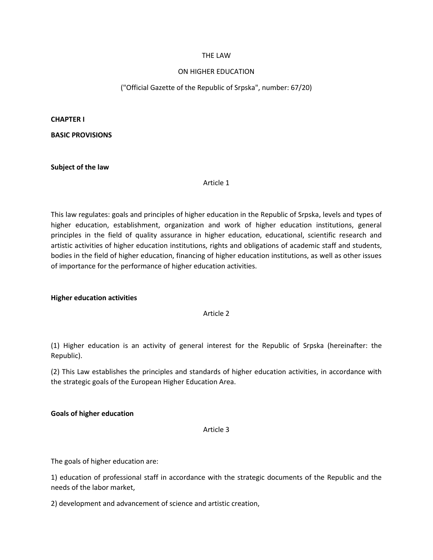## THE LAW

## ON HIGHER EDUCATION

## ("Official Gazette of the Republic of Srpska", number: 67/20)

**CHAPTER I**

**BASIC PROVISIONS**

**Subject of the law**

Article 1

This law regulates: goals and principles of higher education in the Republic of Srpska, levels and types of higher education, establishment, organization and work of higher education institutions, general principles in the field of quality assurance in higher education, educational, scientific research and artistic activities of higher education institutions, rights and obligations of academic staff and students, bodies in the field of higher education, financing of higher education institutions, as well as other issues of importance for the performance of higher education activities.

#### **Higher education activities**

#### Article 2

(1) Higher education is an activity of general interest for the Republic of Srpska (hereinafter: the Republic).

(2) This Law establishes the principles and standards of higher education activities, in accordance with the strategic goals of the European Higher Education Area.

#### **Goals of higher education**

### Article 3

The goals of higher education are:

1) education of professional staff in accordance with the strategic documents of the Republic and the needs of the labor market,

2) development and advancement of science and artistic creation,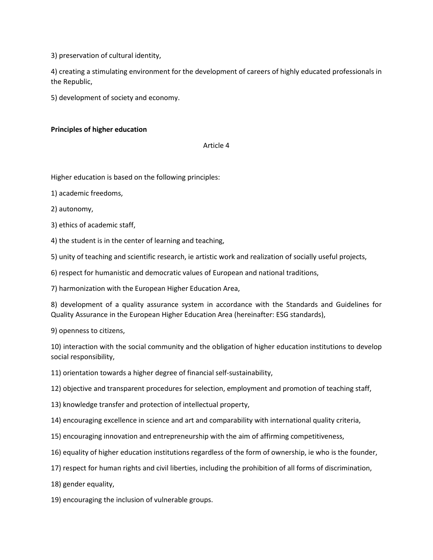3) preservation of cultural identity,

4) creating a stimulating environment for the development of careers of highly educated professionals in the Republic,

5) development of society and economy.

# **Principles of higher education**

## Article 4

Higher education is based on the following principles:

1) academic freedoms,

2) autonomy,

3) ethics of academic staff,

4) the student is in the center of learning and teaching,

5) unity of teaching and scientific research, ie artistic work and realization of socially useful projects,

6) respect for humanistic and democratic values of European and national traditions,

7) harmonization with the European Higher Education Area,

8) development of a quality assurance system in accordance with the Standards and Guidelines for Quality Assurance in the European Higher Education Area (hereinafter: ESG standards),

9) openness to citizens,

10) interaction with the social community and the obligation of higher education institutions to develop social responsibility,

11) orientation towards a higher degree of financial self-sustainability,

12) objective and transparent procedures for selection, employment and promotion of teaching staff,

13) knowledge transfer and protection of intellectual property,

14) encouraging excellence in science and art and comparability with international quality criteria,

15) encouraging innovation and entrepreneurship with the aim of affirming competitiveness,

16) equality of higher education institutions regardless of the form of ownership, ie who is the founder,

17) respect for human rights and civil liberties, including the prohibition of all forms of discrimination,

18) gender equality,

19) encouraging the inclusion of vulnerable groups.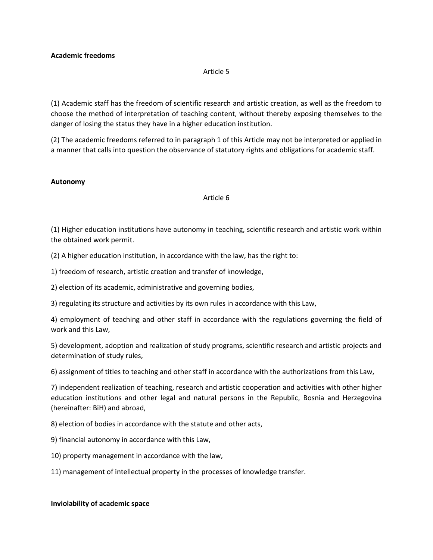### Article 5

(1) Academic staff has the freedom of scientific research and artistic creation, as well as the freedom to choose the method of interpretation of teaching content, without thereby exposing themselves to the danger of losing the status they have in a higher education institution.

(2) The academic freedoms referred to in paragraph 1 of this Article may not be interpreted or applied in a manner that calls into question the observance of statutory rights and obligations for academic staff.

## **Autonomy**

### Article 6

(1) Higher education institutions have autonomy in teaching, scientific research and artistic work within the obtained work permit.

(2) A higher education institution, in accordance with the law, has the right to:

1) freedom of research, artistic creation and transfer of knowledge,

2) election of its academic, administrative and governing bodies,

3) regulating its structure and activities by its own rules in accordance with this Law,

4) employment of teaching and other staff in accordance with the regulations governing the field of work and this Law,

5) development, adoption and realization of study programs, scientific research and artistic projects and determination of study rules,

6) assignment of titles to teaching and other staff in accordance with the authorizations from this Law,

7) independent realization of teaching, research and artistic cooperation and activities with other higher education institutions and other legal and natural persons in the Republic, Bosnia and Herzegovina (hereinafter: BiH) and abroad,

8) election of bodies in accordance with the statute and other acts,

9) financial autonomy in accordance with this Law,

10) property management in accordance with the law,

11) management of intellectual property in the processes of knowledge transfer.

## **Inviolability of academic space**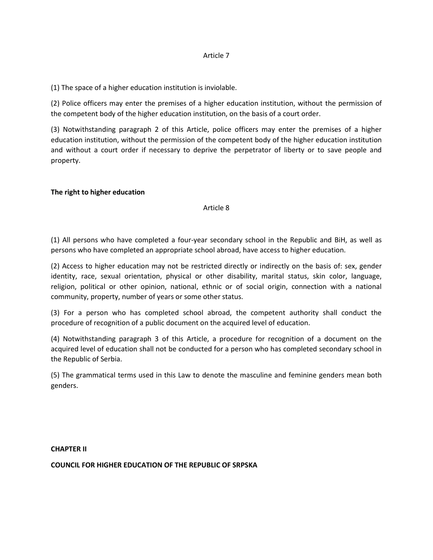### Article 7

(1) The space of a higher education institution is inviolable.

(2) Police officers may enter the premises of a higher education institution, without the permission of the competent body of the higher education institution, on the basis of a court order.

(3) Notwithstanding paragraph 2 of this Article, police officers may enter the premises of a higher education institution, without the permission of the competent body of the higher education institution and without a court order if necessary to deprive the perpetrator of liberty or to save people and property.

## **The right to higher education**

Article 8

(1) All persons who have completed a four-year secondary school in the Republic and BiH, as well as persons who have completed an appropriate school abroad, have access to higher education.

(2) Access to higher education may not be restricted directly or indirectly on the basis of: sex, gender identity, race, sexual orientation, physical or other disability, marital status, skin color, language, religion, political or other opinion, national, ethnic or of social origin, connection with a national community, property, number of years or some other status.

(3) For a person who has completed school abroad, the competent authority shall conduct the procedure of recognition of a public document on the acquired level of education.

(4) Notwithstanding paragraph 3 of this Article, a procedure for recognition of a document on the acquired level of education shall not be conducted for a person who has completed secondary school in the Republic of Serbia.

(5) The grammatical terms used in this Law to denote the masculine and feminine genders mean both genders.

**CHAPTER II**

**COUNCIL FOR HIGHER EDUCATION OF THE REPUBLIC OF SRPSKA**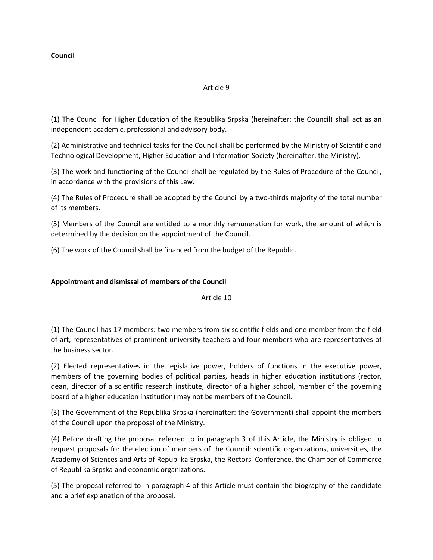# **Council**

# Article 9

(1) The Council for Higher Education of the Republika Srpska (hereinafter: the Council) shall act as an independent academic, professional and advisory body.

(2) Administrative and technical tasks for the Council shall be performed by the Ministry of Scientific and Technological Development, Higher Education and Information Society (hereinafter: the Ministry).

(3) The work and functioning of the Council shall be regulated by the Rules of Procedure of the Council, in accordance with the provisions of this Law.

(4) The Rules of Procedure shall be adopted by the Council by a two-thirds majority of the total number of its members.

(5) Members of the Council are entitled to a monthly remuneration for work, the amount of which is determined by the decision on the appointment of the Council.

(6) The work of the Council shall be financed from the budget of the Republic.

# **Appointment and dismissal of members of the Council**

Article 10

(1) The Council has 17 members: two members from six scientific fields and one member from the field of art, representatives of prominent university teachers and four members who are representatives of the business sector.

(2) Elected representatives in the legislative power, holders of functions in the executive power, members of the governing bodies of political parties, heads in higher education institutions (rector, dean, director of a scientific research institute, director of a higher school, member of the governing board of a higher education institution) may not be members of the Council.

(3) The Government of the Republika Srpska (hereinafter: the Government) shall appoint the members of the Council upon the proposal of the Ministry.

(4) Before drafting the proposal referred to in paragraph 3 of this Article, the Ministry is obliged to request proposals for the election of members of the Council: scientific organizations, universities, the Academy of Sciences and Arts of Republika Srpska, the Rectors' Conference, the Chamber of Commerce of Republika Srpska and economic organizations.

(5) The proposal referred to in paragraph 4 of this Article must contain the biography of the candidate and a brief explanation of the proposal.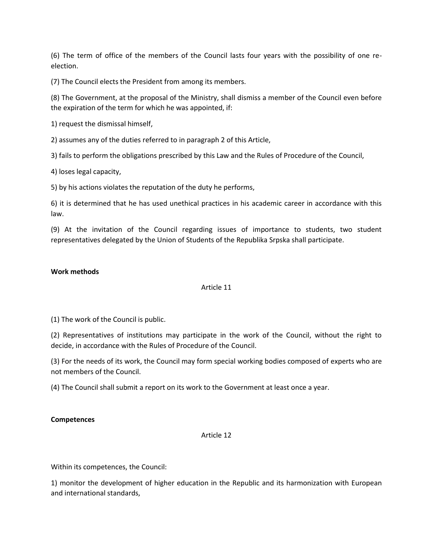(6) The term of office of the members of the Council lasts four years with the possibility of one reelection.

(7) The Council elects the President from among its members.

(8) The Government, at the proposal of the Ministry, shall dismiss a member of the Council even before the expiration of the term for which he was appointed, if:

1) request the dismissal himself,

2) assumes any of the duties referred to in paragraph 2 of this Article,

3) fails to perform the obligations prescribed by this Law and the Rules of Procedure of the Council,

4) loses legal capacity,

5) by his actions violates the reputation of the duty he performs,

6) it is determined that he has used unethical practices in his academic career in accordance with this law.

(9) At the invitation of the Council regarding issues of importance to students, two student representatives delegated by the Union of Students of the Republika Srpska shall participate.

## **Work methods**

## Article 11

(1) The work of the Council is public.

(2) Representatives of institutions may participate in the work of the Council, without the right to decide, in accordance with the Rules of Procedure of the Council.

(3) For the needs of its work, the Council may form special working bodies composed of experts who are not members of the Council.

(4) The Council shall submit a report on its work to the Government at least once a year.

#### **Competences**

## Article 12

Within its competences, the Council:

1) monitor the development of higher education in the Republic and its harmonization with European and international standards,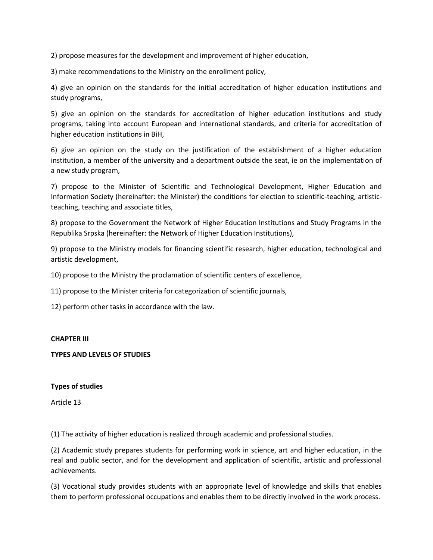2) propose measures for the development and improvement of higher education,

3) make recommendations to the Ministry on the enrollment policy,

4) give an opinion on the standards for the initial accreditation of higher education institutions and study programs,

5) give an opinion on the standards for accreditation of higher education institutions and study programs, taking into account European and international standards, and criteria for accreditation of higher education institutions in BiH,

6) give an opinion on the study on the justification of the establishment of a higher education institution, a member of the university and a department outside the seat, ie on the implementation of a new study program,

7) propose to the Minister of Scientific and Technological Development, Higher Education and Information Society (hereinafter: the Minister) the conditions for election to scientific-teaching, artisticteaching, teaching and associate titles,

8) propose to the Government the Network of Higher Education Institutions and Study Programs in the Republika Srpska (hereinafter: the Network of Higher Education Institutions),

9) propose to the Ministry models for financing scientific research, higher education, technological and artistic development,

10) propose to the Ministry the proclamation of scientific centers of excellence,

11) propose to the Minister criteria for categorization of scientific journals,

12) perform other tasks in accordance with the law.

#### **CHAPTER III**

#### **TYPES AND LEVELS OF STUDIES**

#### **Types of studies**

Article 13

(1) The activity of higher education is realized through academic and professional studies.

(2) Academic study prepares students for performing work in science, art and higher education, in the real and public sector, and for the development and application of scientific, artistic and professional achievements.

(3) Vocational study provides students with an appropriate level of knowledge and skills that enables them to perform professional occupations and enables them to be directly involved in the work process.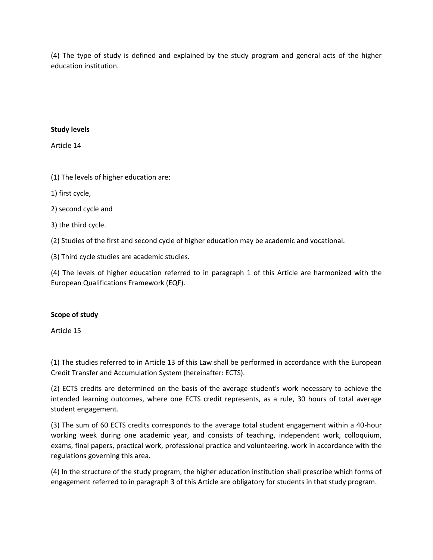(4) The type of study is defined and explained by the study program and general acts of the higher education institution.

# **Study levels**

Article 14

(1) The levels of higher education are:

- 1) first cycle,
- 2) second cycle and
- 3) the third cycle.

(2) Studies of the first and second cycle of higher education may be academic and vocational.

(3) Third cycle studies are academic studies.

(4) The levels of higher education referred to in paragraph 1 of this Article are harmonized with the European Qualifications Framework (EQF).

## **Scope of study**

Article 15

(1) The studies referred to in Article 13 of this Law shall be performed in accordance with the European Credit Transfer and Accumulation System (hereinafter: ECTS).

(2) ECTS credits are determined on the basis of the average student's work necessary to achieve the intended learning outcomes, where one ECTS credit represents, as a rule, 30 hours of total average student engagement.

(3) The sum of 60 ECTS credits corresponds to the average total student engagement within a 40-hour working week during one academic year, and consists of teaching, independent work, colloquium, exams, final papers, practical work, professional practice and volunteering. work in accordance with the regulations governing this area.

(4) In the structure of the study program, the higher education institution shall prescribe which forms of engagement referred to in paragraph 3 of this Article are obligatory for students in that study program.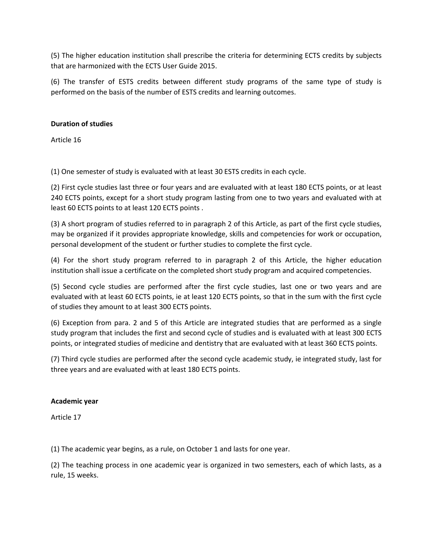(5) The higher education institution shall prescribe the criteria for determining ECTS credits by subjects that are harmonized with the ECTS User Guide 2015.

(6) The transfer of ESTS credits between different study programs of the same type of study is performed on the basis of the number of ESTS credits and learning outcomes.

# **Duration of studies**

Article 16

(1) One semester of study is evaluated with at least 30 ESTS credits in each cycle.

(2) First cycle studies last three or four years and are evaluated with at least 180 ECTS points, or at least 240 ECTS points, except for a short study program lasting from one to two years and evaluated with at least 60 ECTS points to at least 120 ECTS points .

(3) A short program of studies referred to in paragraph 2 of this Article, as part of the first cycle studies, may be organized if it provides appropriate knowledge, skills and competencies for work or occupation, personal development of the student or further studies to complete the first cycle.

(4) For the short study program referred to in paragraph 2 of this Article, the higher education institution shall issue a certificate on the completed short study program and acquired competencies.

(5) Second cycle studies are performed after the first cycle studies, last one or two years and are evaluated with at least 60 ECTS points, ie at least 120 ECTS points, so that in the sum with the first cycle of studies they amount to at least 300 ECTS points.

(6) Exception from para. 2 and 5 of this Article are integrated studies that are performed as a single study program that includes the first and second cycle of studies and is evaluated with at least 300 ECTS points, or integrated studies of medicine and dentistry that are evaluated with at least 360 ECTS points.

(7) Third cycle studies are performed after the second cycle academic study, ie integrated study, last for three years and are evaluated with at least 180 ECTS points.

## **Academic year**

Article 17

(1) The academic year begins, as a rule, on October 1 and lasts for one year.

(2) The teaching process in one academic year is organized in two semesters, each of which lasts, as a rule, 15 weeks.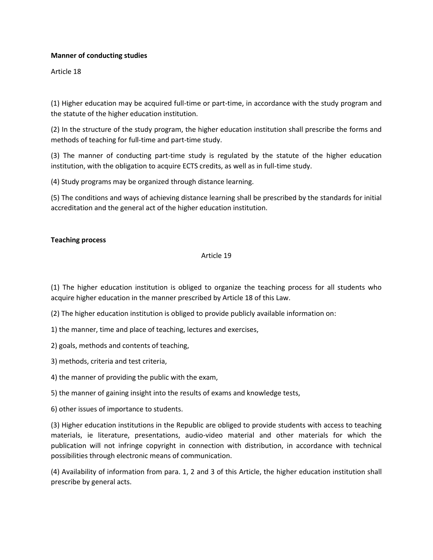## **Manner of conducting studies**

Article 18

(1) Higher education may be acquired full-time or part-time, in accordance with the study program and the statute of the higher education institution.

(2) In the structure of the study program, the higher education institution shall prescribe the forms and methods of teaching for full-time and part-time study.

(3) The manner of conducting part-time study is regulated by the statute of the higher education institution, with the obligation to acquire ECTS credits, as well as in full-time study.

(4) Study programs may be organized through distance learning.

(5) The conditions and ways of achieving distance learning shall be prescribed by the standards for initial accreditation and the general act of the higher education institution.

## **Teaching process**

#### Article 19

(1) The higher education institution is obliged to organize the teaching process for all students who acquire higher education in the manner prescribed by Article 18 of this Law.

(2) The higher education institution is obliged to provide publicly available information on:

1) the manner, time and place of teaching, lectures and exercises,

2) goals, methods and contents of teaching,

3) methods, criteria and test criteria,

4) the manner of providing the public with the exam,

5) the manner of gaining insight into the results of exams and knowledge tests,

6) other issues of importance to students.

(3) Higher education institutions in the Republic are obliged to provide students with access to teaching materials, ie literature, presentations, audio-video material and other materials for which the publication will not infringe copyright in connection with distribution, in accordance with technical possibilities through electronic means of communication.

(4) Availability of information from para. 1, 2 and 3 of this Article, the higher education institution shall prescribe by general acts.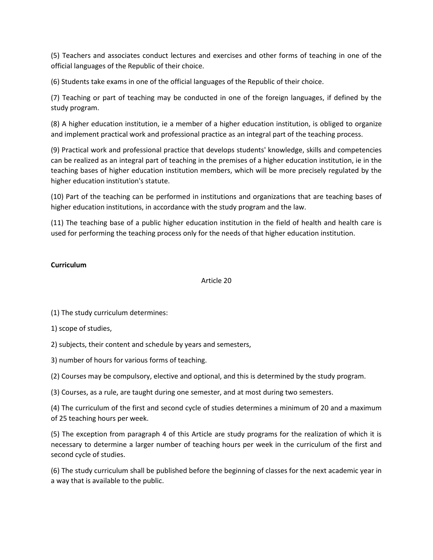(5) Teachers and associates conduct lectures and exercises and other forms of teaching in one of the official languages of the Republic of their choice.

(6) Students take exams in one of the official languages of the Republic of their choice.

(7) Teaching or part of teaching may be conducted in one of the foreign languages, if defined by the study program.

(8) A higher education institution, ie a member of a higher education institution, is obliged to organize and implement practical work and professional practice as an integral part of the teaching process.

(9) Practical work and professional practice that develops students' knowledge, skills and competencies can be realized as an integral part of teaching in the premises of a higher education institution, ie in the teaching bases of higher education institution members, which will be more precisely regulated by the higher education institution's statute.

(10) Part of the teaching can be performed in institutions and organizations that are teaching bases of higher education institutions, in accordance with the study program and the law.

(11) The teaching base of a public higher education institution in the field of health and health care is used for performing the teaching process only for the needs of that higher education institution.

# **Curriculum**

## Article 20

(1) The study curriculum determines:

1) scope of studies,

2) subjects, their content and schedule by years and semesters,

3) number of hours for various forms of teaching.

(2) Courses may be compulsory, elective and optional, and this is determined by the study program.

(3) Courses, as a rule, are taught during one semester, and at most during two semesters.

(4) The curriculum of the first and second cycle of studies determines a minimum of 20 and a maximum of 25 teaching hours per week.

(5) The exception from paragraph 4 of this Article are study programs for the realization of which it is necessary to determine a larger number of teaching hours per week in the curriculum of the first and second cycle of studies.

(6) The study curriculum shall be published before the beginning of classes for the next academic year in a way that is available to the public.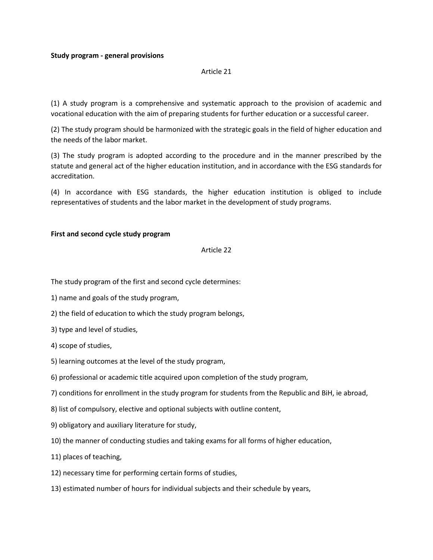### **Study program - general provisions**

### Article 21

(1) A study program is a comprehensive and systematic approach to the provision of academic and vocational education with the aim of preparing students for further education or a successful career.

(2) The study program should be harmonized with the strategic goals in the field of higher education and the needs of the labor market.

(3) The study program is adopted according to the procedure and in the manner prescribed by the statute and general act of the higher education institution, and in accordance with the ESG standards for accreditation.

(4) In accordance with ESG standards, the higher education institution is obliged to include representatives of students and the labor market in the development of study programs.

### **First and second cycle study program**

### Article 22

The study program of the first and second cycle determines:

- 1) name and goals of the study program,
- 2) the field of education to which the study program belongs,
- 3) type and level of studies,
- 4) scope of studies,
- 5) learning outcomes at the level of the study program,
- 6) professional or academic title acquired upon completion of the study program,
- 7) conditions for enrollment in the study program for students from the Republic and BiH, ie abroad,
- 8) list of compulsory, elective and optional subjects with outline content,
- 9) obligatory and auxiliary literature for study,
- 10) the manner of conducting studies and taking exams for all forms of higher education,
- 11) places of teaching,
- 12) necessary time for performing certain forms of studies,
- 13) estimated number of hours for individual subjects and their schedule by years,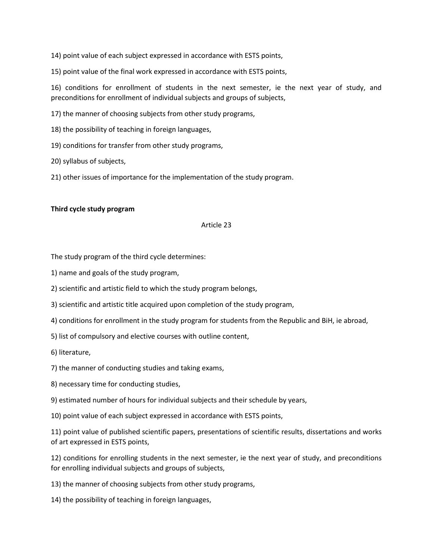14) point value of each subject expressed in accordance with ESTS points,

15) point value of the final work expressed in accordance with ESTS points,

16) conditions for enrollment of students in the next semester, ie the next year of study, and preconditions for enrollment of individual subjects and groups of subjects,

17) the manner of choosing subjects from other study programs,

18) the possibility of teaching in foreign languages,

19) conditions for transfer from other study programs,

20) syllabus of subjects,

21) other issues of importance for the implementation of the study program.

#### **Third cycle study program**

### Article 23

The study program of the third cycle determines:

1) name and goals of the study program,

2) scientific and artistic field to which the study program belongs,

3) scientific and artistic title acquired upon completion of the study program,

4) conditions for enrollment in the study program for students from the Republic and BiH, ie abroad,

5) list of compulsory and elective courses with outline content,

6) literature,

- 7) the manner of conducting studies and taking exams,
- 8) necessary time for conducting studies,

9) estimated number of hours for individual subjects and their schedule by years,

10) point value of each subject expressed in accordance with ESTS points,

11) point value of published scientific papers, presentations of scientific results, dissertations and works of art expressed in ESTS points,

12) conditions for enrolling students in the next semester, ie the next year of study, and preconditions for enrolling individual subjects and groups of subjects,

13) the manner of choosing subjects from other study programs,

14) the possibility of teaching in foreign languages,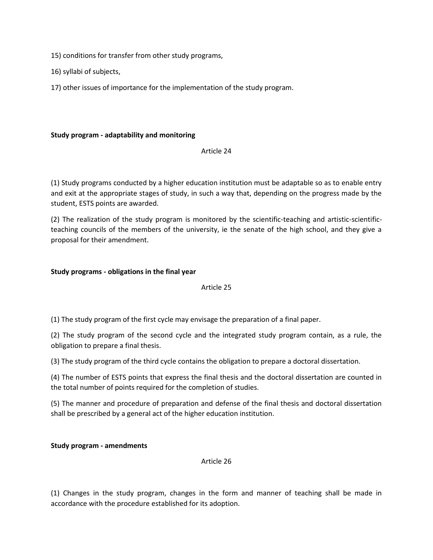15) conditions for transfer from other study programs,

16) syllabi of subjects,

17) other issues of importance for the implementation of the study program.

# **Study program - adaptability and monitoring**

## Article 24

(1) Study programs conducted by a higher education institution must be adaptable so as to enable entry and exit at the appropriate stages of study, in such a way that, depending on the progress made by the student, ESTS points are awarded.

(2) The realization of the study program is monitored by the scientific-teaching and artistic-scientificteaching councils of the members of the university, ie the senate of the high school, and they give a proposal for their amendment.

# **Study programs - obligations in the final year**

## Article 25

(1) The study program of the first cycle may envisage the preparation of a final paper.

(2) The study program of the second cycle and the integrated study program contain, as a rule, the obligation to prepare a final thesis.

(3) The study program of the third cycle contains the obligation to prepare a doctoral dissertation.

(4) The number of ESTS points that express the final thesis and the doctoral dissertation are counted in the total number of points required for the completion of studies.

(5) The manner and procedure of preparation and defense of the final thesis and doctoral dissertation shall be prescribed by a general act of the higher education institution.

**Study program - amendments**

Article 26

(1) Changes in the study program, changes in the form and manner of teaching shall be made in accordance with the procedure established for its adoption.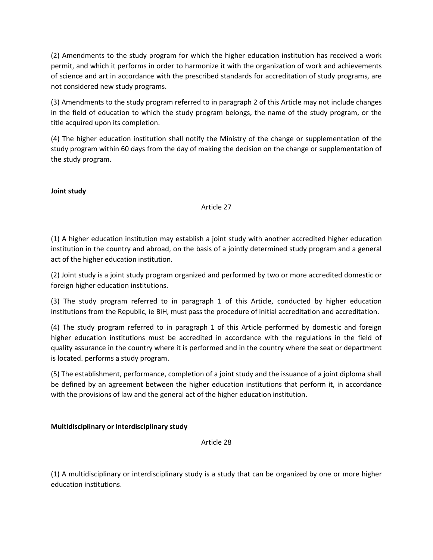(2) Amendments to the study program for which the higher education institution has received a work permit, and which it performs in order to harmonize it with the organization of work and achievements of science and art in accordance with the prescribed standards for accreditation of study programs, are not considered new study programs.

(3) Amendments to the study program referred to in paragraph 2 of this Article may not include changes in the field of education to which the study program belongs, the name of the study program, or the title acquired upon its completion.

(4) The higher education institution shall notify the Ministry of the change or supplementation of the study program within 60 days from the day of making the decision on the change or supplementation of the study program.

**Joint study**

## Article 27

(1) A higher education institution may establish a joint study with another accredited higher education institution in the country and abroad, on the basis of a jointly determined study program and a general act of the higher education institution.

(2) Joint study is a joint study program organized and performed by two or more accredited domestic or foreign higher education institutions.

(3) The study program referred to in paragraph 1 of this Article, conducted by higher education institutions from the Republic, ie BiH, must pass the procedure of initial accreditation and accreditation.

(4) The study program referred to in paragraph 1 of this Article performed by domestic and foreign higher education institutions must be accredited in accordance with the regulations in the field of quality assurance in the country where it is performed and in the country where the seat or department is located. performs a study program.

(5) The establishment, performance, completion of a joint study and the issuance of a joint diploma shall be defined by an agreement between the higher education institutions that perform it, in accordance with the provisions of law and the general act of the higher education institution.

# **Multidisciplinary or interdisciplinary study**

Article 28

(1) A multidisciplinary or interdisciplinary study is a study that can be organized by one or more higher education institutions.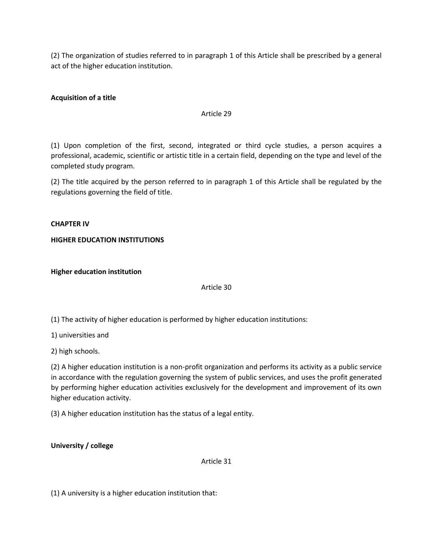(2) The organization of studies referred to in paragraph 1 of this Article shall be prescribed by a general act of the higher education institution.

# **Acquisition of a title**

### Article 29

(1) Upon completion of the first, second, integrated or third cycle studies, a person acquires a professional, academic, scientific or artistic title in a certain field, depending on the type and level of the completed study program.

(2) The title acquired by the person referred to in paragraph 1 of this Article shall be regulated by the regulations governing the field of title.

### **CHAPTER IV**

## **HIGHER EDUCATION INSTITUTIONS**

**Higher education institution**

#### Article 30

(1) The activity of higher education is performed by higher education institutions:

1) universities and

2) high schools.

(2) A higher education institution is a non-profit organization and performs its activity as a public service in accordance with the regulation governing the system of public services, and uses the profit generated by performing higher education activities exclusively for the development and improvement of its own higher education activity.

(3) A higher education institution has the status of a legal entity.

**University / college**

Article 31

(1) A university is a higher education institution that: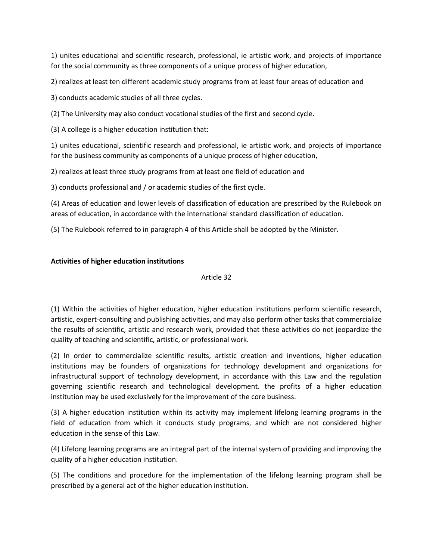1) unites educational and scientific research, professional, ie artistic work, and projects of importance for the social community as three components of a unique process of higher education,

2) realizes at least ten different academic study programs from at least four areas of education and

3) conducts academic studies of all three cycles.

(2) The University may also conduct vocational studies of the first and second cycle.

(3) A college is a higher education institution that:

1) unites educational, scientific research and professional, ie artistic work, and projects of importance for the business community as components of a unique process of higher education,

2) realizes at least three study programs from at least one field of education and

3) conducts professional and / or academic studies of the first cycle.

(4) Areas of education and lower levels of classification of education are prescribed by the Rulebook on areas of education, in accordance with the international standard classification of education.

(5) The Rulebook referred to in paragraph 4 of this Article shall be adopted by the Minister.

# **Activities of higher education institutions**

# Article 32

(1) Within the activities of higher education, higher education institutions perform scientific research, artistic, expert-consulting and publishing activities, and may also perform other tasks that commercialize the results of scientific, artistic and research work, provided that these activities do not jeopardize the quality of teaching and scientific, artistic, or professional work.

(2) In order to commercialize scientific results, artistic creation and inventions, higher education institutions may be founders of organizations for technology development and organizations for infrastructural support of technology development, in accordance with this Law and the regulation governing scientific research and technological development. the profits of a higher education institution may be used exclusively for the improvement of the core business.

(3) A higher education institution within its activity may implement lifelong learning programs in the field of education from which it conducts study programs, and which are not considered higher education in the sense of this Law.

(4) Lifelong learning programs are an integral part of the internal system of providing and improving the quality of a higher education institution.

(5) The conditions and procedure for the implementation of the lifelong learning program shall be prescribed by a general act of the higher education institution.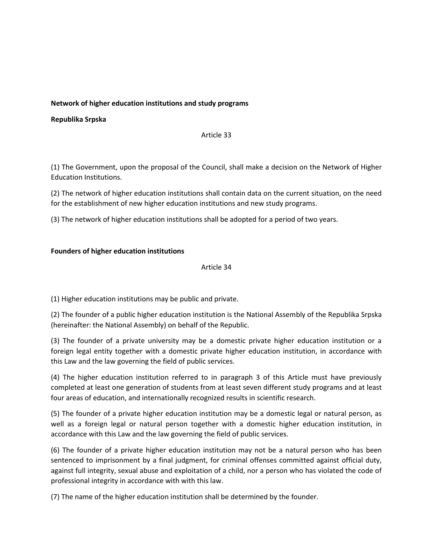# **Network of higher education institutions and study programs**

## **Republika Srpska**

Article 33

(1) The Government, upon the proposal of the Council, shall make a decision on the Network of Higher Education Institutions.

(2) The network of higher education institutions shall contain data on the current situation, on the need for the establishment of new higher education institutions and new study programs.

(3) The network of higher education institutions shall be adopted for a period of two years.

# **Founders of higher education institutions**

## Article 34

(1) Higher education institutions may be public and private.

(2) The founder of a public higher education institution is the National Assembly of the Republika Srpska (hereinafter: the National Assembly) on behalf of the Republic.

(3) The founder of a private university may be a domestic private higher education institution or a foreign legal entity together with a domestic private higher education institution, in accordance with this Law and the law governing the field of public services.

(4) The higher education institution referred to in paragraph 3 of this Article must have previously completed at least one generation of students from at least seven different study programs and at least four areas of education, and internationally recognized results in scientific research.

(5) The founder of a private higher education institution may be a domestic legal or natural person, as well as a foreign legal or natural person together with a domestic higher education institution, in accordance with this Law and the law governing the field of public services.

(6) The founder of a private higher education institution may not be a natural person who has been sentenced to imprisonment by a final judgment, for criminal offenses committed against official duty, against full integrity, sexual abuse and exploitation of a child, nor a person who has violated the code of professional integrity in accordance with with this law.

(7) The name of the higher education institution shall be determined by the founder.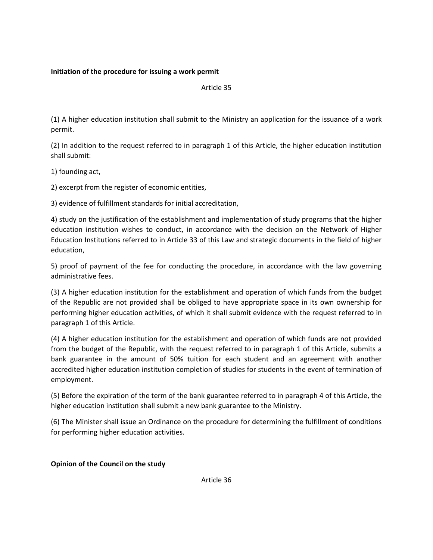# **Initiation of the procedure for issuing a work permit**

Article 35

(1) A higher education institution shall submit to the Ministry an application for the issuance of a work permit.

(2) In addition to the request referred to in paragraph 1 of this Article, the higher education institution shall submit:

1) founding act,

2) excerpt from the register of economic entities,

3) evidence of fulfillment standards for initial accreditation,

4) study on the justification of the establishment and implementation of study programs that the higher education institution wishes to conduct, in accordance with the decision on the Network of Higher Education Institutions referred to in Article 33 of this Law and strategic documents in the field of higher education,

5) proof of payment of the fee for conducting the procedure, in accordance with the law governing administrative fees.

(3) A higher education institution for the establishment and operation of which funds from the budget of the Republic are not provided shall be obliged to have appropriate space in its own ownership for performing higher education activities, of which it shall submit evidence with the request referred to in paragraph 1 of this Article.

(4) A higher education institution for the establishment and operation of which funds are not provided from the budget of the Republic, with the request referred to in paragraph 1 of this Article, submits a bank guarantee in the amount of 50% tuition for each student and an agreement with another accredited higher education institution completion of studies for students in the event of termination of employment.

(5) Before the expiration of the term of the bank guarantee referred to in paragraph 4 of this Article, the higher education institution shall submit a new bank guarantee to the Ministry.

(6) The Minister shall issue an Ordinance on the procedure for determining the fulfillment of conditions for performing higher education activities.

## **Opinion of the Council on the study**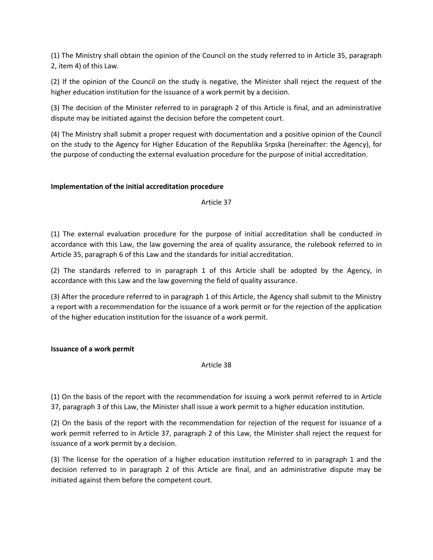(1) The Ministry shall obtain the opinion of the Council on the study referred to in Article 35, paragraph 2, item 4) of this Law.

(2) If the opinion of the Council on the study is negative, the Minister shall reject the request of the higher education institution for the issuance of a work permit by a decision.

(3) The decision of the Minister referred to in paragraph 2 of this Article is final, and an administrative dispute may be initiated against the decision before the competent court.

(4) The Ministry shall submit a proper request with documentation and a positive opinion of the Council on the study to the Agency for Higher Education of the Republika Srpska (hereinafter: the Agency), for the purpose of conducting the external evaluation procedure for the purpose of initial accreditation.

# **Implementation of the initial accreditation procedure**

Article 37

(1) The external evaluation procedure for the purpose of initial accreditation shall be conducted in accordance with this Law, the law governing the area of quality assurance, the rulebook referred to in Article 35, paragraph 6 of this Law and the standards for initial accreditation.

(2) The standards referred to in paragraph 1 of this Article shall be adopted by the Agency, in accordance with this Law and the law governing the field of quality assurance.

(3) After the procedure referred to in paragraph 1 of this Article, the Agency shall submit to the Ministry a report with a recommendation for the issuance of a work permit or for the rejection of the application of the higher education institution for the issuance of a work permit.

## **Issuance of a work permit**

Article 38

(1) On the basis of the report with the recommendation for issuing a work permit referred to in Article 37, paragraph 3 of this Law, the Minister shall issue a work permit to a higher education institution.

(2) On the basis of the report with the recommendation for rejection of the request for issuance of a work permit referred to in Article 37, paragraph 2 of this Law, the Minister shall reject the request for issuance of a work permit by a decision.

(3) The license for the operation of a higher education institution referred to in paragraph 1 and the decision referred to in paragraph 2 of this Article are final, and an administrative dispute may be initiated against them before the competent court.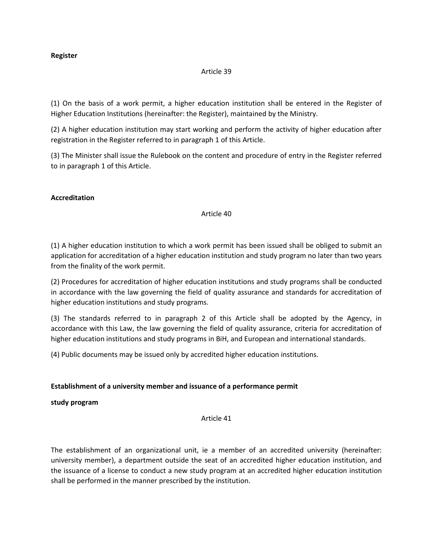## **Register**

### Article 39

(1) On the basis of a work permit, a higher education institution shall be entered in the Register of Higher Education Institutions (hereinafter: the Register), maintained by the Ministry.

(2) A higher education institution may start working and perform the activity of higher education after registration in the Register referred to in paragraph 1 of this Article.

(3) The Minister shall issue the Rulebook on the content and procedure of entry in the Register referred to in paragraph 1 of this Article.

## **Accreditation**

## Article 40

(1) A higher education institution to which a work permit has been issued shall be obliged to submit an application for accreditation of a higher education institution and study program no later than two years from the finality of the work permit.

(2) Procedures for accreditation of higher education institutions and study programs shall be conducted in accordance with the law governing the field of quality assurance and standards for accreditation of higher education institutions and study programs.

(3) The standards referred to in paragraph 2 of this Article shall be adopted by the Agency, in accordance with this Law, the law governing the field of quality assurance, criteria for accreditation of higher education institutions and study programs in BiH, and European and international standards.

(4) Public documents may be issued only by accredited higher education institutions.

## **Establishment of a university member and issuance of a performance permit**

**study program**

Article 41

The establishment of an organizational unit, ie a member of an accredited university (hereinafter: university member), a department outside the seat of an accredited higher education institution, and the issuance of a license to conduct a new study program at an accredited higher education institution shall be performed in the manner prescribed by the institution.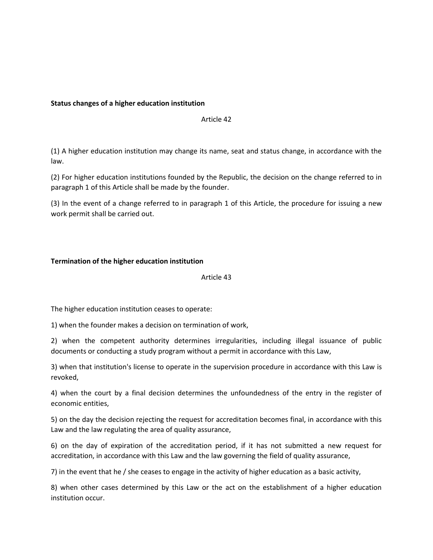## **Status changes of a higher education institution**

### Article 42

(1) A higher education institution may change its name, seat and status change, in accordance with the law.

(2) For higher education institutions founded by the Republic, the decision on the change referred to in paragraph 1 of this Article shall be made by the founder.

(3) In the event of a change referred to in paragraph 1 of this Article, the procedure for issuing a new work permit shall be carried out.

## **Termination of the higher education institution**

Article 43

The higher education institution ceases to operate:

1) when the founder makes a decision on termination of work,

2) when the competent authority determines irregularities, including illegal issuance of public documents or conducting a study program without a permit in accordance with this Law,

3) when that institution's license to operate in the supervision procedure in accordance with this Law is revoked,

4) when the court by a final decision determines the unfoundedness of the entry in the register of economic entities,

5) on the day the decision rejecting the request for accreditation becomes final, in accordance with this Law and the law regulating the area of quality assurance,

6) on the day of expiration of the accreditation period, if it has not submitted a new request for accreditation, in accordance with this Law and the law governing the field of quality assurance,

7) in the event that he / she ceases to engage in the activity of higher education as a basic activity,

8) when other cases determined by this Law or the act on the establishment of a higher education institution occur.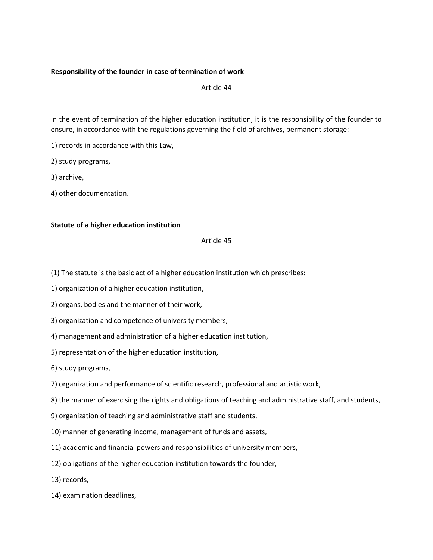## **Responsibility of the founder in case of termination of work**

Article 44

In the event of termination of the higher education institution, it is the responsibility of the founder to ensure, in accordance with the regulations governing the field of archives, permanent storage:

1) records in accordance with this Law,

2) study programs,

3) archive,

4) other documentation.

## **Statute of a higher education institution**

## Article 45

- (1) The statute is the basic act of a higher education institution which prescribes:
- 1) organization of a higher education institution,
- 2) organs, bodies and the manner of their work,
- 3) organization and competence of university members,
- 4) management and administration of a higher education institution,
- 5) representation of the higher education institution,

6) study programs,

- 7) organization and performance of scientific research, professional and artistic work,
- 8) the manner of exercising the rights and obligations of teaching and administrative staff, and students,
- 9) organization of teaching and administrative staff and students,
- 10) manner of generating income, management of funds and assets,
- 11) academic and financial powers and responsibilities of university members,
- 12) obligations of the higher education institution towards the founder,
- 13) records,
- 14) examination deadlines,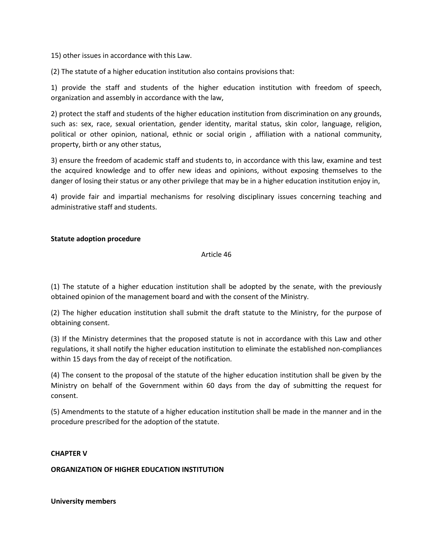15) other issues in accordance with this Law.

(2) The statute of a higher education institution also contains provisions that:

1) provide the staff and students of the higher education institution with freedom of speech, organization and assembly in accordance with the law,

2) protect the staff and students of the higher education institution from discrimination on any grounds, such as: sex, race, sexual orientation, gender identity, marital status, skin color, language, religion, political or other opinion, national, ethnic or social origin , affiliation with a national community, property, birth or any other status,

3) ensure the freedom of academic staff and students to, in accordance with this law, examine and test the acquired knowledge and to offer new ideas and opinions, without exposing themselves to the danger of losing their status or any other privilege that may be in a higher education institution enjoy in,

4) provide fair and impartial mechanisms for resolving disciplinary issues concerning teaching and administrative staff and students.

## **Statute adoption procedure**

Article 46

(1) The statute of a higher education institution shall be adopted by the senate, with the previously obtained opinion of the management board and with the consent of the Ministry.

(2) The higher education institution shall submit the draft statute to the Ministry, for the purpose of obtaining consent.

(3) If the Ministry determines that the proposed statute is not in accordance with this Law and other regulations, it shall notify the higher education institution to eliminate the established non-compliances within 15 days from the day of receipt of the notification.

(4) The consent to the proposal of the statute of the higher education institution shall be given by the Ministry on behalf of the Government within 60 days from the day of submitting the request for consent.

(5) Amendments to the statute of a higher education institution shall be made in the manner and in the procedure prescribed for the adoption of the statute.

## **CHAPTER V**

## **ORGANIZATION OF HIGHER EDUCATION INSTITUTION**

**University members**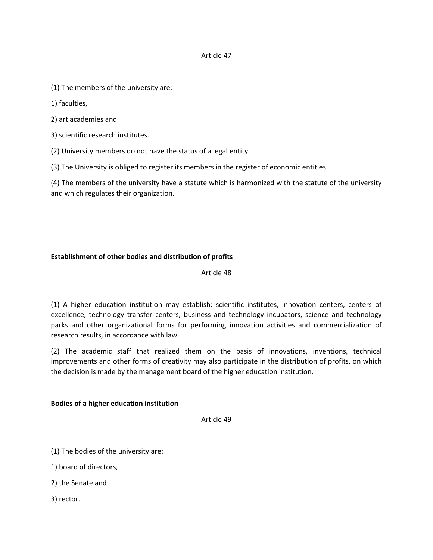## Article 47

- (1) The members of the university are:
- 1) faculties,
- 2) art academies and
- 3) scientific research institutes.
- (2) University members do not have the status of a legal entity.
- (3) The University is obliged to register its members in the register of economic entities.

(4) The members of the university have a statute which is harmonized with the statute of the university and which regulates their organization.

# **Establishment of other bodies and distribution of profits**

Article 48

(1) A higher education institution may establish: scientific institutes, innovation centers, centers of excellence, technology transfer centers, business and technology incubators, science and technology parks and other organizational forms for performing innovation activities and commercialization of research results, in accordance with law.

(2) The academic staff that realized them on the basis of innovations, inventions, technical improvements and other forms of creativity may also participate in the distribution of profits, on which the decision is made by the management board of the higher education institution.

## **Bodies of a higher education institution**

Article 49

(1) The bodies of the university are:

1) board of directors,

2) the Senate and

3) rector.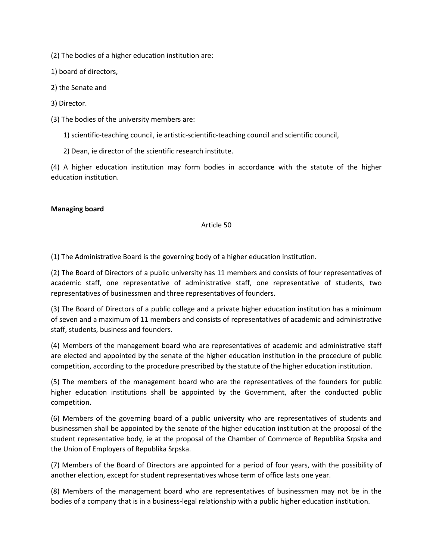(2) The bodies of a higher education institution are:

1) board of directors,

2) the Senate and

3) Director.

(3) The bodies of the university members are:

1) scientific-teaching council, ie artistic-scientific-teaching council and scientific council,

2) Dean, ie director of the scientific research institute.

(4) A higher education institution may form bodies in accordance with the statute of the higher education institution.

#### **Managing board**

#### Article 50

(1) The Administrative Board is the governing body of a higher education institution.

(2) The Board of Directors of a public university has 11 members and consists of four representatives of academic staff, one representative of administrative staff, one representative of students, two representatives of businessmen and three representatives of founders.

(3) The Board of Directors of a public college and a private higher education institution has a minimum of seven and a maximum of 11 members and consists of representatives of academic and administrative staff, students, business and founders.

(4) Members of the management board who are representatives of academic and administrative staff are elected and appointed by the senate of the higher education institution in the procedure of public competition, according to the procedure prescribed by the statute of the higher education institution.

(5) The members of the management board who are the representatives of the founders for public higher education institutions shall be appointed by the Government, after the conducted public competition.

(6) Members of the governing board of a public university who are representatives of students and businessmen shall be appointed by the senate of the higher education institution at the proposal of the student representative body, ie at the proposal of the Chamber of Commerce of Republika Srpska and the Union of Employers of Republika Srpska.

(7) Members of the Board of Directors are appointed for a period of four years, with the possibility of another election, except for student representatives whose term of office lasts one year.

(8) Members of the management board who are representatives of businessmen may not be in the bodies of a company that is in a business-legal relationship with a public higher education institution.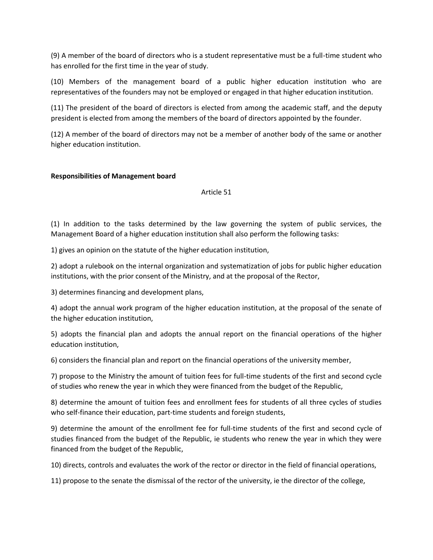(9) A member of the board of directors who is a student representative must be a full-time student who has enrolled for the first time in the year of study.

(10) Members of the management board of a public higher education institution who are representatives of the founders may not be employed or engaged in that higher education institution.

(11) The president of the board of directors is elected from among the academic staff, and the deputy president is elected from among the members of the board of directors appointed by the founder.

(12) A member of the board of directors may not be a member of another body of the same or another higher education institution.

## **Responsibilities of Management board**

Article 51

(1) In addition to the tasks determined by the law governing the system of public services, the Management Board of a higher education institution shall also perform the following tasks:

1) gives an opinion on the statute of the higher education institution,

2) adopt a rulebook on the internal organization and systematization of jobs for public higher education institutions, with the prior consent of the Ministry, and at the proposal of the Rector,

3) determines financing and development plans,

4) adopt the annual work program of the higher education institution, at the proposal of the senate of the higher education institution,

5) adopts the financial plan and adopts the annual report on the financial operations of the higher education institution,

6) considers the financial plan and report on the financial operations of the university member,

7) propose to the Ministry the amount of tuition fees for full-time students of the first and second cycle of studies who renew the year in which they were financed from the budget of the Republic,

8) determine the amount of tuition fees and enrollment fees for students of all three cycles of studies who self-finance their education, part-time students and foreign students,

9) determine the amount of the enrollment fee for full-time students of the first and second cycle of studies financed from the budget of the Republic, ie students who renew the year in which they were financed from the budget of the Republic,

10) directs, controls and evaluates the work of the rector or director in the field of financial operations,

11) propose to the senate the dismissal of the rector of the university, ie the director of the college,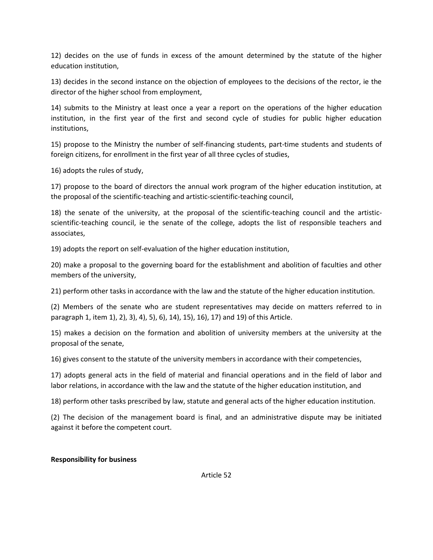12) decides on the use of funds in excess of the amount determined by the statute of the higher education institution,

13) decides in the second instance on the objection of employees to the decisions of the rector, ie the director of the higher school from employment,

14) submits to the Ministry at least once a year a report on the operations of the higher education institution, in the first year of the first and second cycle of studies for public higher education institutions,

15) propose to the Ministry the number of self-financing students, part-time students and students of foreign citizens, for enrollment in the first year of all three cycles of studies,

16) adopts the rules of study,

17) propose to the board of directors the annual work program of the higher education institution, at the proposal of the scientific-teaching and artistic-scientific-teaching council,

18) the senate of the university, at the proposal of the scientific-teaching council and the artisticscientific-teaching council, ie the senate of the college, adopts the list of responsible teachers and associates,

19) adopts the report on self-evaluation of the higher education institution,

20) make a proposal to the governing board for the establishment and abolition of faculties and other members of the university,

21) perform other tasks in accordance with the law and the statute of the higher education institution.

(2) Members of the senate who are student representatives may decide on matters referred to in paragraph 1, item 1), 2), 3), 4), 5), 6), 14), 15), 16), 17) and 19) of this Article.

15) makes a decision on the formation and abolition of university members at the university at the proposal of the senate,

16) gives consent to the statute of the university members in accordance with their competencies,

17) adopts general acts in the field of material and financial operations and in the field of labor and labor relations, in accordance with the law and the statute of the higher education institution, and

18) perform other tasks prescribed by law, statute and general acts of the higher education institution.

(2) The decision of the management board is final, and an administrative dispute may be initiated against it before the competent court.

## **Responsibility for business**

Article 52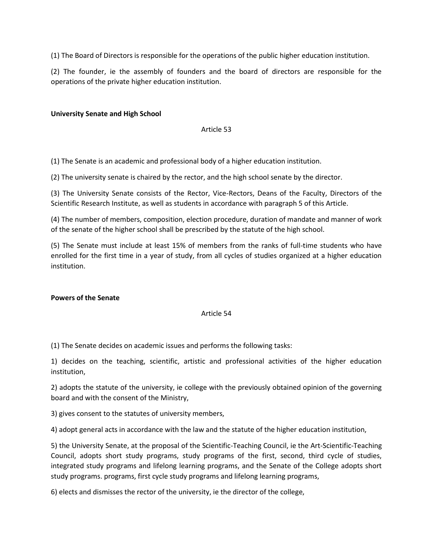(1) The Board of Directors is responsible for the operations of the public higher education institution.

(2) The founder, ie the assembly of founders and the board of directors are responsible for the operations of the private higher education institution.

# **University Senate and High School**

Article 53

(1) The Senate is an academic and professional body of a higher education institution.

(2) The university senate is chaired by the rector, and the high school senate by the director.

(3) The University Senate consists of the Rector, Vice-Rectors, Deans of the Faculty, Directors of the Scientific Research Institute, as well as students in accordance with paragraph 5 of this Article.

(4) The number of members, composition, election procedure, duration of mandate and manner of work of the senate of the higher school shall be prescribed by the statute of the high school.

(5) The Senate must include at least 15% of members from the ranks of full-time students who have enrolled for the first time in a year of study, from all cycles of studies organized at a higher education institution.

## **Powers of the Senate**

## Article 54

(1) The Senate decides on academic issues and performs the following tasks:

1) decides on the teaching, scientific, artistic and professional activities of the higher education institution,

2) adopts the statute of the university, ie college with the previously obtained opinion of the governing board and with the consent of the Ministry,

3) gives consent to the statutes of university members,

4) adopt general acts in accordance with the law and the statute of the higher education institution,

5) the University Senate, at the proposal of the Scientific-Teaching Council, ie the Art-Scientific-Teaching Council, adopts short study programs, study programs of the first, second, third cycle of studies, integrated study programs and lifelong learning programs, and the Senate of the College adopts short study programs. programs, first cycle study programs and lifelong learning programs,

6) elects and dismisses the rector of the university, ie the director of the college,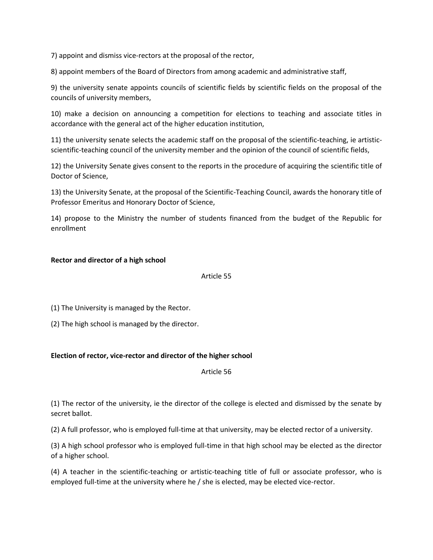7) appoint and dismiss vice-rectors at the proposal of the rector,

8) appoint members of the Board of Directors from among academic and administrative staff,

9) the university senate appoints councils of scientific fields by scientific fields on the proposal of the councils of university members,

10) make a decision on announcing a competition for elections to teaching and associate titles in accordance with the general act of the higher education institution,

11) the university senate selects the academic staff on the proposal of the scientific-teaching, ie artisticscientific-teaching council of the university member and the opinion of the council of scientific fields,

12) the University Senate gives consent to the reports in the procedure of acquiring the scientific title of Doctor of Science,

13) the University Senate, at the proposal of the Scientific-Teaching Council, awards the honorary title of Professor Emeritus and Honorary Doctor of Science,

14) propose to the Ministry the number of students financed from the budget of the Republic for enrollment

## **Rector and director of a high school**

### Article 55

(1) The University is managed by the Rector.

(2) The high school is managed by the director.

## **Election of rector, vice-rector and director of the higher school**

Article 56

(1) The rector of the university, ie the director of the college is elected and dismissed by the senate by secret ballot.

(2) A full professor, who is employed full-time at that university, may be elected rector of a university.

(3) A high school professor who is employed full-time in that high school may be elected as the director of a higher school.

(4) A teacher in the scientific-teaching or artistic-teaching title of full or associate professor, who is employed full-time at the university where he / she is elected, may be elected vice-rector.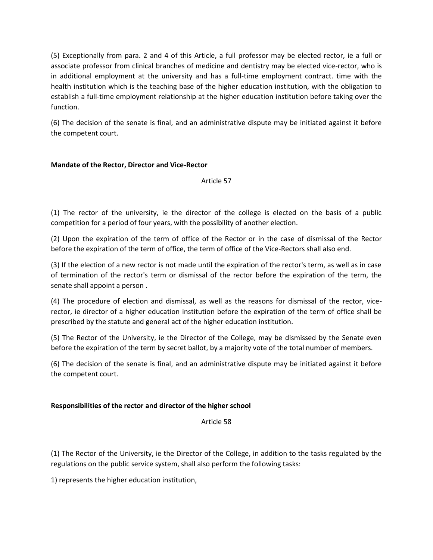(5) Exceptionally from para. 2 and 4 of this Article, a full professor may be elected rector, ie a full or associate professor from clinical branches of medicine and dentistry may be elected vice-rector, who is in additional employment at the university and has a full-time employment contract. time with the health institution which is the teaching base of the higher education institution, with the obligation to establish a full-time employment relationship at the higher education institution before taking over the function.

(6) The decision of the senate is final, and an administrative dispute may be initiated against it before the competent court.

# **Mandate of the Rector, Director and Vice-Rector**

Article 57

(1) The rector of the university, ie the director of the college is elected on the basis of a public competition for a period of four years, with the possibility of another election.

(2) Upon the expiration of the term of office of the Rector or in the case of dismissal of the Rector before the expiration of the term of office, the term of office of the Vice-Rectors shall also end.

(3) If the election of a new rector is not made until the expiration of the rector's term, as well as in case of termination of the rector's term or dismissal of the rector before the expiration of the term, the senate shall appoint a person .

(4) The procedure of election and dismissal, as well as the reasons for dismissal of the rector, vicerector, ie director of a higher education institution before the expiration of the term of office shall be prescribed by the statute and general act of the higher education institution.

(5) The Rector of the University, ie the Director of the College, may be dismissed by the Senate even before the expiration of the term by secret ballot, by a majority vote of the total number of members.

(6) The decision of the senate is final, and an administrative dispute may be initiated against it before the competent court.

# **Responsibilities of the rector and director of the higher school**

Article 58

(1) The Rector of the University, ie the Director of the College, in addition to the tasks regulated by the regulations on the public service system, shall also perform the following tasks:

1) represents the higher education institution,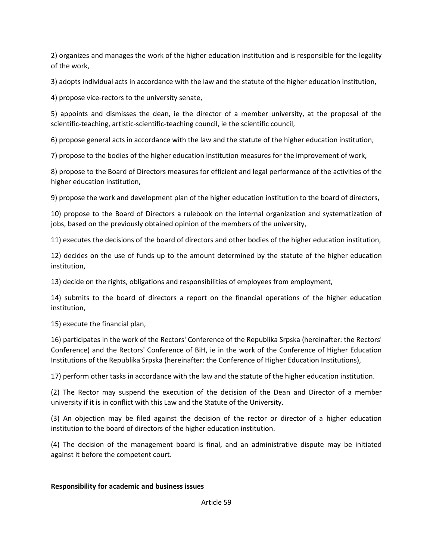2) organizes and manages the work of the higher education institution and is responsible for the legality of the work,

3) adopts individual acts in accordance with the law and the statute of the higher education institution,

4) propose vice-rectors to the university senate,

5) appoints and dismisses the dean, ie the director of a member university, at the proposal of the scientific-teaching, artistic-scientific-teaching council, ie the scientific council,

6) propose general acts in accordance with the law and the statute of the higher education institution,

7) propose to the bodies of the higher education institution measures for the improvement of work,

8) propose to the Board of Directors measures for efficient and legal performance of the activities of the higher education institution,

9) propose the work and development plan of the higher education institution to the board of directors,

10) propose to the Board of Directors a rulebook on the internal organization and systematization of jobs, based on the previously obtained opinion of the members of the university,

11) executes the decisions of the board of directors and other bodies of the higher education institution,

12) decides on the use of funds up to the amount determined by the statute of the higher education institution,

13) decide on the rights, obligations and responsibilities of employees from employment,

14) submits to the board of directors a report on the financial operations of the higher education institution,

15) execute the financial plan,

16) participates in the work of the Rectors' Conference of the Republika Srpska (hereinafter: the Rectors' Conference) and the Rectors' Conference of BiH, ie in the work of the Conference of Higher Education Institutions of the Republika Srpska (hereinafter: the Conference of Higher Education Institutions),

17) perform other tasks in accordance with the law and the statute of the higher education institution.

(2) The Rector may suspend the execution of the decision of the Dean and Director of a member university if it is in conflict with this Law and the Statute of the University.

(3) An objection may be filed against the decision of the rector or director of a higher education institution to the board of directors of the higher education institution.

(4) The decision of the management board is final, and an administrative dispute may be initiated against it before the competent court.

# **Responsibility for academic and business issues**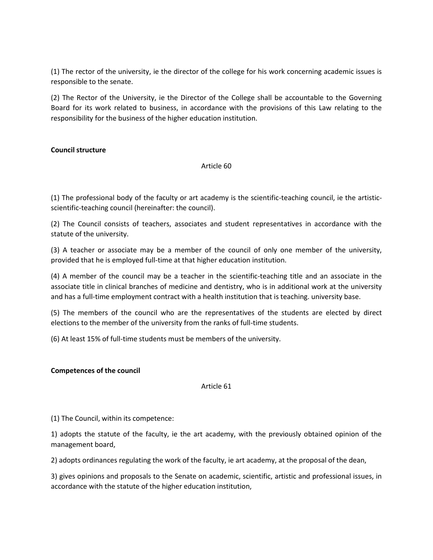(1) The rector of the university, ie the director of the college for his work concerning academic issues is responsible to the senate.

(2) The Rector of the University, ie the Director of the College shall be accountable to the Governing Board for its work related to business, in accordance with the provisions of this Law relating to the responsibility for the business of the higher education institution.

# **Council structure**

## Article 60

(1) The professional body of the faculty or art academy is the scientific-teaching council, ie the artisticscientific-teaching council (hereinafter: the council).

(2) The Council consists of teachers, associates and student representatives in accordance with the statute of the university.

(3) A teacher or associate may be a member of the council of only one member of the university, provided that he is employed full-time at that higher education institution.

(4) A member of the council may be a teacher in the scientific-teaching title and an associate in the associate title in clinical branches of medicine and dentistry, who is in additional work at the university and has a full-time employment contract with a health institution that is teaching. university base.

(5) The members of the council who are the representatives of the students are elected by direct elections to the member of the university from the ranks of full-time students.

(6) At least 15% of full-time students must be members of the university.

## **Competences of the council**

## Article 61

(1) The Council, within its competence:

1) adopts the statute of the faculty, ie the art academy, with the previously obtained opinion of the management board,

2) adopts ordinances regulating the work of the faculty, ie art academy, at the proposal of the dean,

3) gives opinions and proposals to the Senate on academic, scientific, artistic and professional issues, in accordance with the statute of the higher education institution,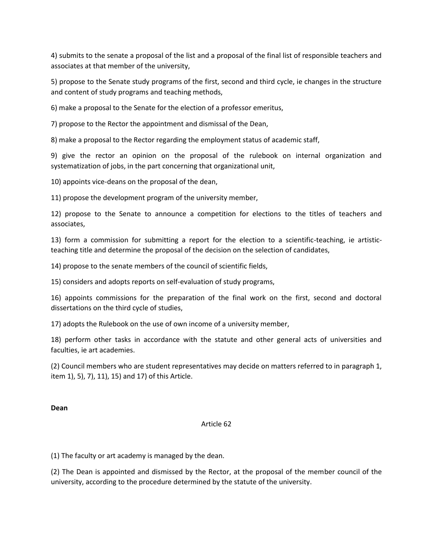4) submits to the senate a proposal of the list and a proposal of the final list of responsible teachers and associates at that member of the university,

5) propose to the Senate study programs of the first, second and third cycle, ie changes in the structure and content of study programs and teaching methods,

6) make a proposal to the Senate for the election of a professor emeritus,

7) propose to the Rector the appointment and dismissal of the Dean,

8) make a proposal to the Rector regarding the employment status of academic staff,

9) give the rector an opinion on the proposal of the rulebook on internal organization and systematization of jobs, in the part concerning that organizational unit,

10) appoints vice-deans on the proposal of the dean,

11) propose the development program of the university member,

12) propose to the Senate to announce a competition for elections to the titles of teachers and associates,

13) form a commission for submitting a report for the election to a scientific-teaching, ie artisticteaching title and determine the proposal of the decision on the selection of candidates,

14) propose to the senate members of the council of scientific fields,

15) considers and adopts reports on self-evaluation of study programs,

16) appoints commissions for the preparation of the final work on the first, second and doctoral dissertations on the third cycle of studies,

17) adopts the Rulebook on the use of own income of a university member,

18) perform other tasks in accordance with the statute and other general acts of universities and faculties, ie art academies.

(2) Council members who are student representatives may decide on matters referred to in paragraph 1, item 1), 5), 7), 11), 15) and 17) of this Article.

**Dean**

## Article 62

(1) The faculty or art academy is managed by the dean.

(2) The Dean is appointed and dismissed by the Rector, at the proposal of the member council of the university, according to the procedure determined by the statute of the university.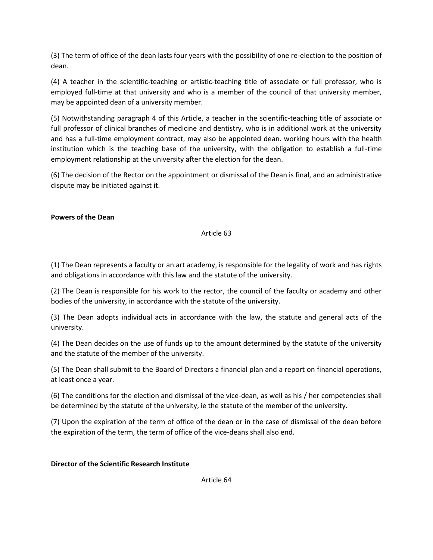(3) The term of office of the dean lasts four years with the possibility of one re-election to the position of dean.

(4) A teacher in the scientific-teaching or artistic-teaching title of associate or full professor, who is employed full-time at that university and who is a member of the council of that university member, may be appointed dean of a university member.

(5) Notwithstanding paragraph 4 of this Article, a teacher in the scientific-teaching title of associate or full professor of clinical branches of medicine and dentistry, who is in additional work at the university and has a full-time employment contract, may also be appointed dean. working hours with the health institution which is the teaching base of the university, with the obligation to establish a full-time employment relationship at the university after the election for the dean.

(6) The decision of the Rector on the appointment or dismissal of the Dean is final, and an administrative dispute may be initiated against it.

# **Powers of the Dean**

# Article 63

(1) The Dean represents a faculty or an art academy, is responsible for the legality of work and has rights and obligations in accordance with this law and the statute of the university.

(2) The Dean is responsible for his work to the rector, the council of the faculty or academy and other bodies of the university, in accordance with the statute of the university.

(3) The Dean adopts individual acts in accordance with the law, the statute and general acts of the university.

(4) The Dean decides on the use of funds up to the amount determined by the statute of the university and the statute of the member of the university.

(5) The Dean shall submit to the Board of Directors a financial plan and a report on financial operations, at least once a year.

(6) The conditions for the election and dismissal of the vice-dean, as well as his / her competencies shall be determined by the statute of the university, ie the statute of the member of the university.

(7) Upon the expiration of the term of office of the dean or in the case of dismissal of the dean before the expiration of the term, the term of office of the vice-deans shall also end.

# **Director of the Scientific Research Institute**

Article 64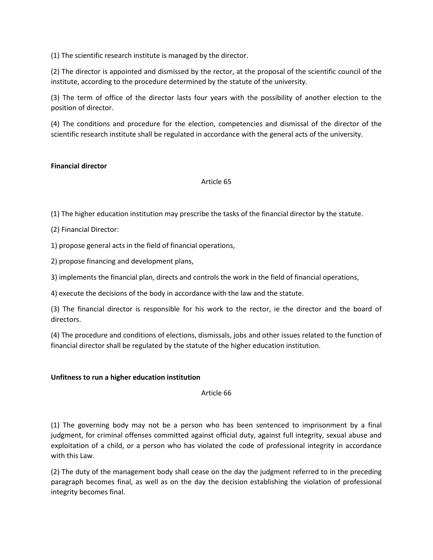(1) The scientific research institute is managed by the director.

(2) The director is appointed and dismissed by the rector, at the proposal of the scientific council of the institute, according to the procedure determined by the statute of the university.

(3) The term of office of the director lasts four years with the possibility of another election to the position of director.

(4) The conditions and procedure for the election, competencies and dismissal of the director of the scientific research institute shall be regulated in accordance with the general acts of the university.

## **Financial director**

Article 65

(1) The higher education institution may prescribe the tasks of the financial director by the statute.

(2) Financial Director:

1) propose general acts in the field of financial operations,

2) propose financing and development plans,

3) implements the financial plan, directs and controls the work in the field of financial operations,

4) execute the decisions of the body in accordance with the law and the statute.

(3) The financial director is responsible for his work to the rector, ie the director and the board of directors.

(4) The procedure and conditions of elections, dismissals, jobs and other issues related to the function of financial director shall be regulated by the statute of the higher education institution.

## **Unfitness to run a higher education institution**

Article 66

(1) The governing body may not be a person who has been sentenced to imprisonment by a final judgment, for criminal offenses committed against official duty, against full integrity, sexual abuse and exploitation of a child, or a person who has violated the code of professional integrity in accordance with this Law.

(2) The duty of the management body shall cease on the day the judgment referred to in the preceding paragraph becomes final, as well as on the day the decision establishing the violation of professional integrity becomes final.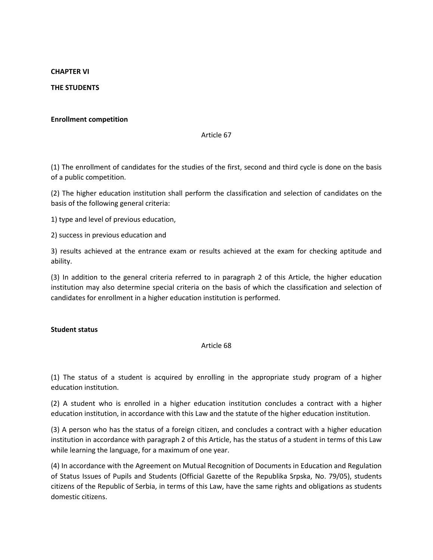#### **CHAPTER VI**

### **THE STUDENTS**

#### **Enrollment competition**

#### Article 67

(1) The enrollment of candidates for the studies of the first, second and third cycle is done on the basis of a public competition.

(2) The higher education institution shall perform the classification and selection of candidates on the basis of the following general criteria:

1) type and level of previous education,

2) success in previous education and

3) results achieved at the entrance exam or results achieved at the exam for checking aptitude and ability.

(3) In addition to the general criteria referred to in paragraph 2 of this Article, the higher education institution may also determine special criteria on the basis of which the classification and selection of candidates for enrollment in a higher education institution is performed.

### **Student status**

### Article 68

(1) The status of a student is acquired by enrolling in the appropriate study program of a higher education institution.

(2) A student who is enrolled in a higher education institution concludes a contract with a higher education institution, in accordance with this Law and the statute of the higher education institution.

(3) A person who has the status of a foreign citizen, and concludes a contract with a higher education institution in accordance with paragraph 2 of this Article, has the status of a student in terms of this Law while learning the language, for a maximum of one year.

(4) In accordance with the Agreement on Mutual Recognition of Documents in Education and Regulation of Status Issues of Pupils and Students (Official Gazette of the Republika Srpska, No. 79/05), students citizens of the Republic of Serbia, in terms of this Law, have the same rights and obligations as students domestic citizens.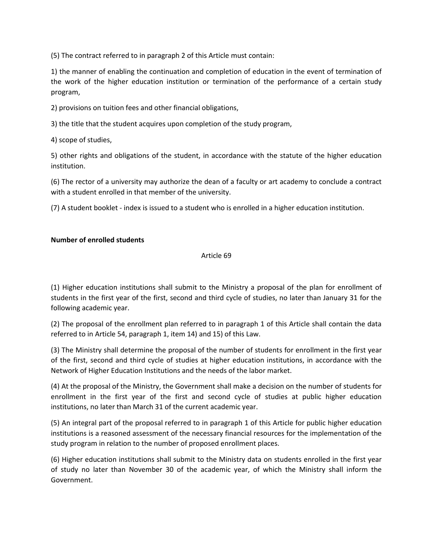(5) The contract referred to in paragraph 2 of this Article must contain:

1) the manner of enabling the continuation and completion of education in the event of termination of the work of the higher education institution or termination of the performance of a certain study program,

2) provisions on tuition fees and other financial obligations,

3) the title that the student acquires upon completion of the study program,

4) scope of studies,

5) other rights and obligations of the student, in accordance with the statute of the higher education institution.

(6) The rector of a university may authorize the dean of a faculty or art academy to conclude a contract with a student enrolled in that member of the university.

(7) A student booklet - index is issued to a student who is enrolled in a higher education institution.

# **Number of enrolled students**

### Article 69

(1) Higher education institutions shall submit to the Ministry a proposal of the plan for enrollment of students in the first year of the first, second and third cycle of studies, no later than January 31 for the following academic year.

(2) The proposal of the enrollment plan referred to in paragraph 1 of this Article shall contain the data referred to in Article 54, paragraph 1, item 14) and 15) of this Law.

(3) The Ministry shall determine the proposal of the number of students for enrollment in the first year of the first, second and third cycle of studies at higher education institutions, in accordance with the Network of Higher Education Institutions and the needs of the labor market.

(4) At the proposal of the Ministry, the Government shall make a decision on the number of students for enrollment in the first year of the first and second cycle of studies at public higher education institutions, no later than March 31 of the current academic year.

(5) An integral part of the proposal referred to in paragraph 1 of this Article for public higher education institutions is a reasoned assessment of the necessary financial resources for the implementation of the study program in relation to the number of proposed enrollment places.

(6) Higher education institutions shall submit to the Ministry data on students enrolled in the first year of study no later than November 30 of the academic year, of which the Ministry shall inform the Government.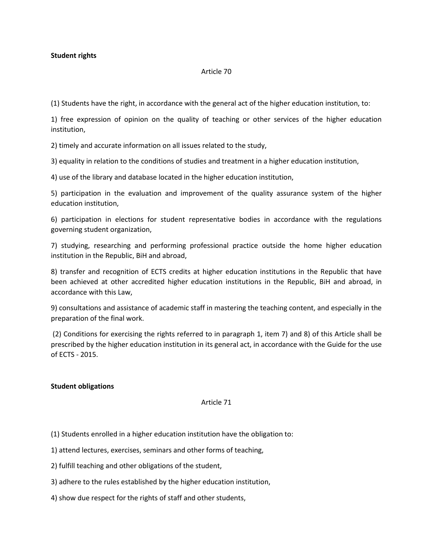### **Student rights**

#### Article 70

(1) Students have the right, in accordance with the general act of the higher education institution, to:

1) free expression of opinion on the quality of teaching or other services of the higher education institution,

2) timely and accurate information on all issues related to the study,

3) equality in relation to the conditions of studies and treatment in a higher education institution,

4) use of the library and database located in the higher education institution,

5) participation in the evaluation and improvement of the quality assurance system of the higher education institution,

6) participation in elections for student representative bodies in accordance with the regulations governing student organization,

7) studying, researching and performing professional practice outside the home higher education institution in the Republic, BiH and abroad,

8) transfer and recognition of ECTS credits at higher education institutions in the Republic that have been achieved at other accredited higher education institutions in the Republic, BiH and abroad, in accordance with this Law,

9) consultations and assistance of academic staff in mastering the teaching content, and especially in the preparation of the final work.

(2) Conditions for exercising the rights referred to in paragraph 1, item 7) and 8) of this Article shall be prescribed by the higher education institution in its general act, in accordance with the Guide for the use of ECTS - 2015.

### **Student obligations**

#### Article 71

(1) Students enrolled in a higher education institution have the obligation to:

1) attend lectures, exercises, seminars and other forms of teaching,

2) fulfill teaching and other obligations of the student,

3) adhere to the rules established by the higher education institution,

4) show due respect for the rights of staff and other students,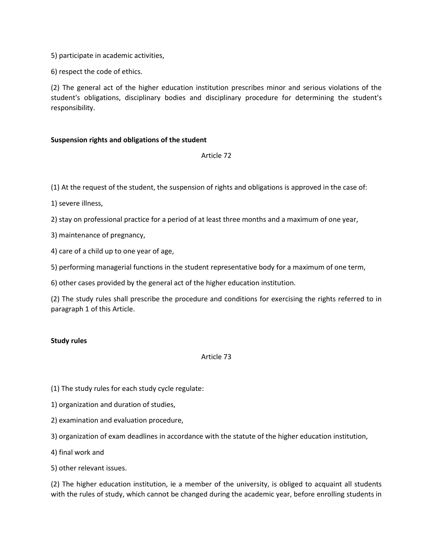5) participate in academic activities,

6) respect the code of ethics.

(2) The general act of the higher education institution prescribes minor and serious violations of the student's obligations, disciplinary bodies and disciplinary procedure for determining the student's responsibility.

## **Suspension rights and obligations of the student**

Article 72

(1) At the request of the student, the suspension of rights and obligations is approved in the case of:

1) severe illness,

2) stay on professional practice for a period of at least three months and a maximum of one year,

3) maintenance of pregnancy,

4) care of a child up to one year of age,

5) performing managerial functions in the student representative body for a maximum of one term,

6) other cases provided by the general act of the higher education institution.

(2) The study rules shall prescribe the procedure and conditions for exercising the rights referred to in paragraph 1 of this Article.

### **Study rules**

### Article 73

(1) The study rules for each study cycle regulate:

1) organization and duration of studies,

2) examination and evaluation procedure,

3) organization of exam deadlines in accordance with the statute of the higher education institution,

4) final work and

5) other relevant issues.

(2) The higher education institution, ie a member of the university, is obliged to acquaint all students with the rules of study, which cannot be changed during the academic year, before enrolling students in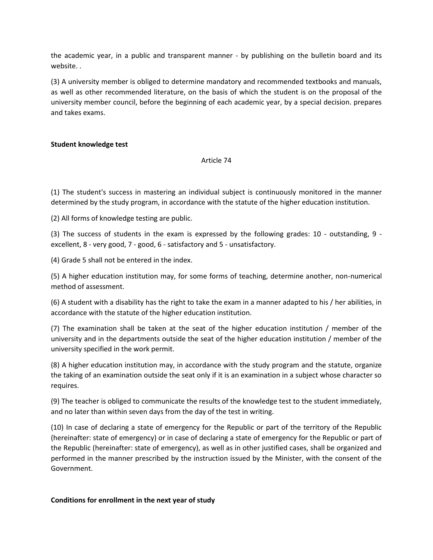the academic year, in a public and transparent manner - by publishing on the bulletin board and its website. .

(3) A university member is obliged to determine mandatory and recommended textbooks and manuals, as well as other recommended literature, on the basis of which the student is on the proposal of the university member council, before the beginning of each academic year, by a special decision. prepares and takes exams.

## **Student knowledge test**

#### Article 74

(1) The student's success in mastering an individual subject is continuously monitored in the manner determined by the study program, in accordance with the statute of the higher education institution.

(2) All forms of knowledge testing are public.

(3) The success of students in the exam is expressed by the following grades: 10 - outstanding, 9 excellent, 8 - very good, 7 - good, 6 - satisfactory and 5 - unsatisfactory.

(4) Grade 5 shall not be entered in the index.

(5) A higher education institution may, for some forms of teaching, determine another, non-numerical method of assessment.

(6) A student with a disability has the right to take the exam in a manner adapted to his / her abilities, in accordance with the statute of the higher education institution.

(7) The examination shall be taken at the seat of the higher education institution / member of the university and in the departments outside the seat of the higher education institution / member of the university specified in the work permit.

(8) A higher education institution may, in accordance with the study program and the statute, organize the taking of an examination outside the seat only if it is an examination in a subject whose character so requires.

(9) The teacher is obliged to communicate the results of the knowledge test to the student immediately, and no later than within seven days from the day of the test in writing.

(10) In case of declaring a state of emergency for the Republic or part of the territory of the Republic (hereinafter: state of emergency) or in case of declaring a state of emergency for the Republic or part of the Republic (hereinafter: state of emergency), as well as in other justified cases, shall be organized and performed in the manner prescribed by the instruction issued by the Minister, with the consent of the Government.

### **Conditions for enrollment in the next year of study**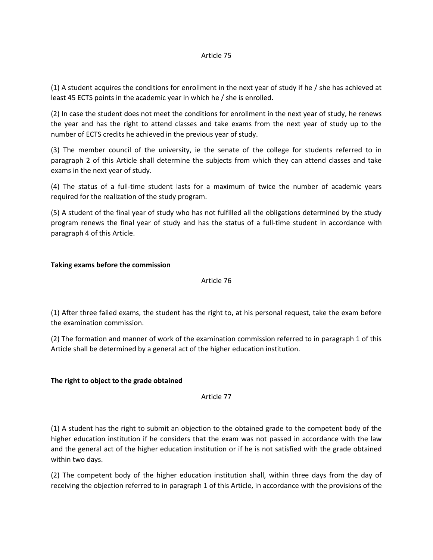#### Article 75

(1) A student acquires the conditions for enrollment in the next year of study if he / she has achieved at least 45 ECTS points in the academic year in which he / she is enrolled.

(2) In case the student does not meet the conditions for enrollment in the next year of study, he renews the year and has the right to attend classes and take exams from the next year of study up to the number of ECTS credits he achieved in the previous year of study.

(3) The member council of the university, ie the senate of the college for students referred to in paragraph 2 of this Article shall determine the subjects from which they can attend classes and take exams in the next year of study.

(4) The status of a full-time student lasts for a maximum of twice the number of academic years required for the realization of the study program.

(5) A student of the final year of study who has not fulfilled all the obligations determined by the study program renews the final year of study and has the status of a full-time student in accordance with paragraph 4 of this Article.

### **Taking exams before the commission**

### Article 76

(1) After three failed exams, the student has the right to, at his personal request, take the exam before the examination commission.

(2) The formation and manner of work of the examination commission referred to in paragraph 1 of this Article shall be determined by a general act of the higher education institution.

### **The right to object to the grade obtained**

Article 77

(1) A student has the right to submit an objection to the obtained grade to the competent body of the higher education institution if he considers that the exam was not passed in accordance with the law and the general act of the higher education institution or if he is not satisfied with the grade obtained within two days.

(2) The competent body of the higher education institution shall, within three days from the day of receiving the objection referred to in paragraph 1 of this Article, in accordance with the provisions of the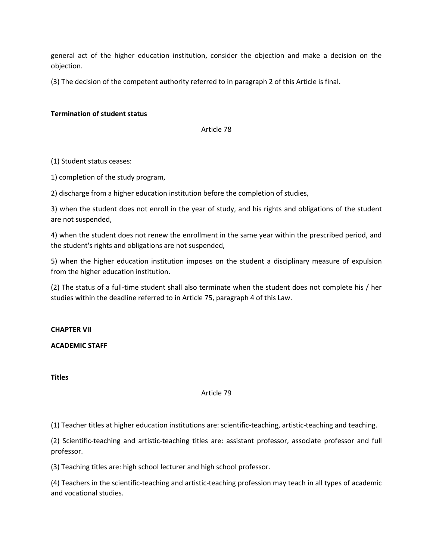general act of the higher education institution, consider the objection and make a decision on the objection.

(3) The decision of the competent authority referred to in paragraph 2 of this Article is final.

### **Termination of student status**

Article 78

#### (1) Student status ceases:

1) completion of the study program,

2) discharge from a higher education institution before the completion of studies,

3) when the student does not enroll in the year of study, and his rights and obligations of the student are not suspended,

4) when the student does not renew the enrollment in the same year within the prescribed period, and the student's rights and obligations are not suspended,

5) when the higher education institution imposes on the student a disciplinary measure of expulsion from the higher education institution.

(2) The status of a full-time student shall also terminate when the student does not complete his / her studies within the deadline referred to in Article 75, paragraph 4 of this Law.

#### **CHAPTER VII**

### **ACADEMIC STAFF**

**Titles**

## Article 79

(1) Teacher titles at higher education institutions are: scientific-teaching, artistic-teaching and teaching.

(2) Scientific-teaching and artistic-teaching titles are: assistant professor, associate professor and full professor.

(3) Teaching titles are: high school lecturer and high school professor.

(4) Teachers in the scientific-teaching and artistic-teaching profession may teach in all types of academic and vocational studies.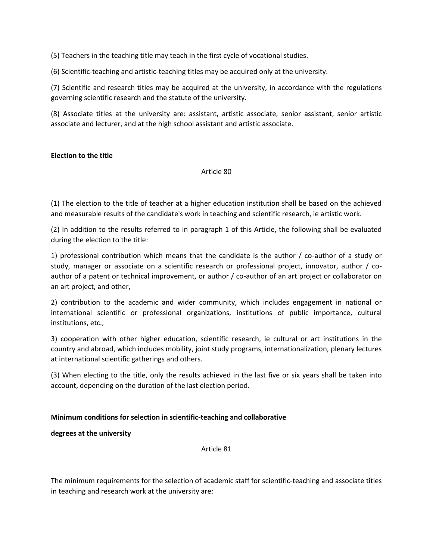(5) Teachers in the teaching title may teach in the first cycle of vocational studies.

(6) Scientific-teaching and artistic-teaching titles may be acquired only at the university.

(7) Scientific and research titles may be acquired at the university, in accordance with the regulations governing scientific research and the statute of the university.

(8) Associate titles at the university are: assistant, artistic associate, senior assistant, senior artistic associate and lecturer, and at the high school assistant and artistic associate.

### **Election to the title**

Article 80

(1) The election to the title of teacher at a higher education institution shall be based on the achieved and measurable results of the candidate's work in teaching and scientific research, ie artistic work.

(2) In addition to the results referred to in paragraph 1 of this Article, the following shall be evaluated during the election to the title:

1) professional contribution which means that the candidate is the author / co-author of a study or study, manager or associate on a scientific research or professional project, innovator, author / coauthor of a patent or technical improvement, or author / co-author of an art project or collaborator on an art project, and other,

2) contribution to the academic and wider community, which includes engagement in national or international scientific or professional organizations, institutions of public importance, cultural institutions, etc.,

3) cooperation with other higher education, scientific research, ie cultural or art institutions in the country and abroad, which includes mobility, joint study programs, internationalization, plenary lectures at international scientific gatherings and others.

(3) When electing to the title, only the results achieved in the last five or six years shall be taken into account, depending on the duration of the last election period.

#### **Minimum conditions for selection in scientific-teaching and collaborative**

**degrees at the university**

Article 81

The minimum requirements for the selection of academic staff for scientific-teaching and associate titles in teaching and research work at the university are: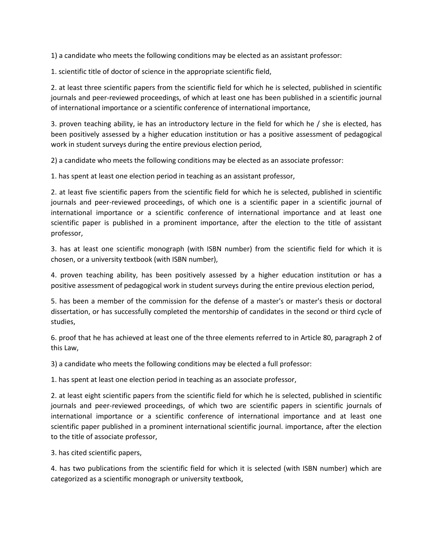1) a candidate who meets the following conditions may be elected as an assistant professor:

1. scientific title of doctor of science in the appropriate scientific field,

2. at least three scientific papers from the scientific field for which he is selected, published in scientific journals and peer-reviewed proceedings, of which at least one has been published in a scientific journal of international importance or a scientific conference of international importance,

3. proven teaching ability, ie has an introductory lecture in the field for which he / she is elected, has been positively assessed by a higher education institution or has a positive assessment of pedagogical work in student surveys during the entire previous election period,

2) a candidate who meets the following conditions may be elected as an associate professor:

1. has spent at least one election period in teaching as an assistant professor,

2. at least five scientific papers from the scientific field for which he is selected, published in scientific journals and peer-reviewed proceedings, of which one is a scientific paper in a scientific journal of international importance or a scientific conference of international importance and at least one scientific paper is published in a prominent importance, after the election to the title of assistant professor,

3. has at least one scientific monograph (with ISBN number) from the scientific field for which it is chosen, or a university textbook (with ISBN number),

4. proven teaching ability, has been positively assessed by a higher education institution or has a positive assessment of pedagogical work in student surveys during the entire previous election period,

5. has been a member of the commission for the defense of a master's or master's thesis or doctoral dissertation, or has successfully completed the mentorship of candidates in the second or third cycle of studies,

6. proof that he has achieved at least one of the three elements referred to in Article 80, paragraph 2 of this Law,

3) a candidate who meets the following conditions may be elected a full professor:

1. has spent at least one election period in teaching as an associate professor,

2. at least eight scientific papers from the scientific field for which he is selected, published in scientific journals and peer-reviewed proceedings, of which two are scientific papers in scientific journals of international importance or a scientific conference of international importance and at least one scientific paper published in a prominent international scientific journal. importance, after the election to the title of associate professor,

3. has cited scientific papers,

4. has two publications from the scientific field for which it is selected (with ISBN number) which are categorized as a scientific monograph or university textbook,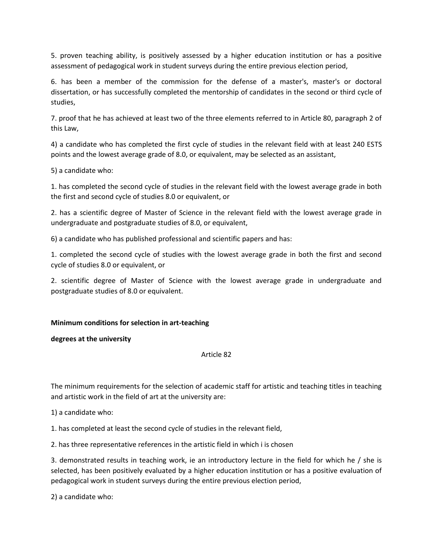5. proven teaching ability, is positively assessed by a higher education institution or has a positive assessment of pedagogical work in student surveys during the entire previous election period,

6. has been a member of the commission for the defense of a master's, master's or doctoral dissertation, or has successfully completed the mentorship of candidates in the second or third cycle of studies,

7. proof that he has achieved at least two of the three elements referred to in Article 80, paragraph 2 of this Law,

4) a candidate who has completed the first cycle of studies in the relevant field with at least 240 ESTS points and the lowest average grade of 8.0, or equivalent, may be selected as an assistant,

5) a candidate who:

1. has completed the second cycle of studies in the relevant field with the lowest average grade in both the first and second cycle of studies 8.0 or equivalent, or

2. has a scientific degree of Master of Science in the relevant field with the lowest average grade in undergraduate and postgraduate studies of 8.0, or equivalent,

6) a candidate who has published professional and scientific papers and has:

1. completed the second cycle of studies with the lowest average grade in both the first and second cycle of studies 8.0 or equivalent, or

2. scientific degree of Master of Science with the lowest average grade in undergraduate and postgraduate studies of 8.0 or equivalent.

### **Minimum conditions for selection in art-teaching**

**degrees at the university**

Article 82

The minimum requirements for the selection of academic staff for artistic and teaching titles in teaching and artistic work in the field of art at the university are:

1) a candidate who:

1. has completed at least the second cycle of studies in the relevant field,

2. has three representative references in the artistic field in which i is chosen

3. demonstrated results in teaching work, ie an introductory lecture in the field for which he / she is selected, has been positively evaluated by a higher education institution or has a positive evaluation of pedagogical work in student surveys during the entire previous election period,

2) a candidate who: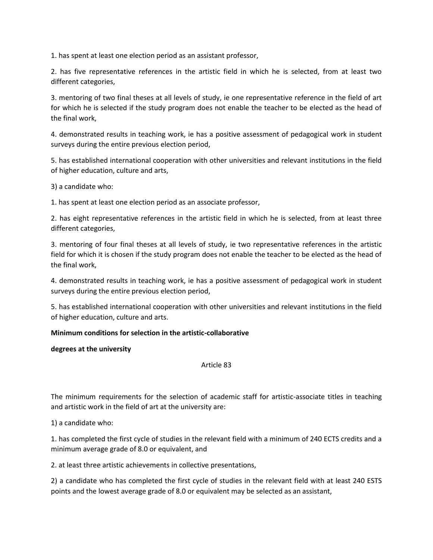1. has spent at least one election period as an assistant professor,

2. has five representative references in the artistic field in which he is selected, from at least two different categories,

3. mentoring of two final theses at all levels of study, ie one representative reference in the field of art for which he is selected if the study program does not enable the teacher to be elected as the head of the final work,

4. demonstrated results in teaching work, ie has a positive assessment of pedagogical work in student surveys during the entire previous election period,

5. has established international cooperation with other universities and relevant institutions in the field of higher education, culture and arts,

3) a candidate who:

1. has spent at least one election period as an associate professor,

2. has eight representative references in the artistic field in which he is selected, from at least three different categories,

3. mentoring of four final theses at all levels of study, ie two representative references in the artistic field for which it is chosen if the study program does not enable the teacher to be elected as the head of the final work,

4. demonstrated results in teaching work, ie has a positive assessment of pedagogical work in student surveys during the entire previous election period,

5. has established international cooperation with other universities and relevant institutions in the field of higher education, culture and arts.

### **Minimum conditions for selection in the artistic-collaborative**

### **degrees at the university**

### Article 83

The minimum requirements for the selection of academic staff for artistic-associate titles in teaching and artistic work in the field of art at the university are:

1) a candidate who:

1. has completed the first cycle of studies in the relevant field with a minimum of 240 ECTS credits and a minimum average grade of 8.0 or equivalent, and

2. at least three artistic achievements in collective presentations,

2) a candidate who has completed the first cycle of studies in the relevant field with at least 240 ESTS points and the lowest average grade of 8.0 or equivalent may be selected as an assistant,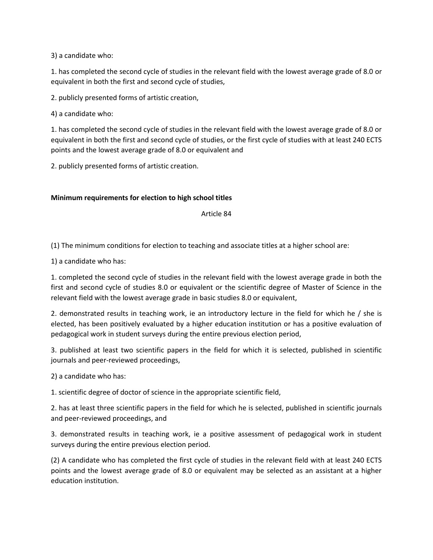3) a candidate who:

1. has completed the second cycle of studies in the relevant field with the lowest average grade of 8.0 or equivalent in both the first and second cycle of studies,

2. publicly presented forms of artistic creation,

4) a candidate who:

1. has completed the second cycle of studies in the relevant field with the lowest average grade of 8.0 or equivalent in both the first and second cycle of studies, or the first cycle of studies with at least 240 ECTS points and the lowest average grade of 8.0 or equivalent and

2. publicly presented forms of artistic creation.

# **Minimum requirements for election to high school titles**

Article 84

(1) The minimum conditions for election to teaching and associate titles at a higher school are:

1) a candidate who has:

1. completed the second cycle of studies in the relevant field with the lowest average grade in both the first and second cycle of studies 8.0 or equivalent or the scientific degree of Master of Science in the relevant field with the lowest average grade in basic studies 8.0 or equivalent,

2. demonstrated results in teaching work, ie an introductory lecture in the field for which he / she is elected, has been positively evaluated by a higher education institution or has a positive evaluation of pedagogical work in student surveys during the entire previous election period,

3. published at least two scientific papers in the field for which it is selected, published in scientific journals and peer-reviewed proceedings,

2) a candidate who has:

1. scientific degree of doctor of science in the appropriate scientific field,

2. has at least three scientific papers in the field for which he is selected, published in scientific journals and peer-reviewed proceedings, and

3. demonstrated results in teaching work, ie a positive assessment of pedagogical work in student surveys during the entire previous election period.

(2) A candidate who has completed the first cycle of studies in the relevant field with at least 240 ECTS points and the lowest average grade of 8.0 or equivalent may be selected as an assistant at a higher education institution.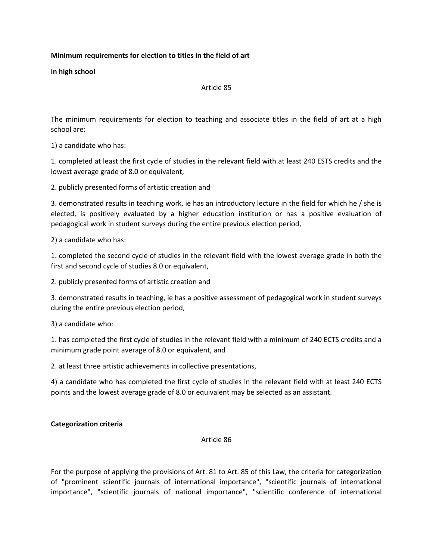# **Minimum requirements for election to titles in the field of art**

**in high school**

Article 85

The minimum requirements for election to teaching and associate titles in the field of art at a high school are:

1) a candidate who has:

1. completed at least the first cycle of studies in the relevant field with at least 240 ESTS credits and the lowest average grade of 8.0 or equivalent,

2. publicly presented forms of artistic creation and

3. demonstrated results in teaching work, ie has an introductory lecture in the field for which he / she is elected, is positively evaluated by a higher education institution or has a positive evaluation of pedagogical work in student surveys during the entire previous election period,

2) a candidate who has:

1. completed the second cycle of studies in the relevant field with the lowest average grade in both the first and second cycle of studies 8.0 or equivalent,

2. publicly presented forms of artistic creation and

3. demonstrated results in teaching, ie has a positive assessment of pedagogical work in student surveys during the entire previous election period,

3) a candidate who:

1. has completed the first cycle of studies in the relevant field with a minimum of 240 ECTS credits and a minimum grade point average of 8.0 or equivalent, and

2. at least three artistic achievements in collective presentations,

4) a candidate who has completed the first cycle of studies in the relevant field with at least 240 ECTS points and the lowest average grade of 8.0 or equivalent may be selected as an assistant.

### **Categorization criteria**

Article 86

For the purpose of applying the provisions of Art. 81 to Art. 85 of this Law, the criteria for categorization of "prominent scientific journals of international importance", "scientific journals of international importance", "scientific journals of national importance", "scientific conference of international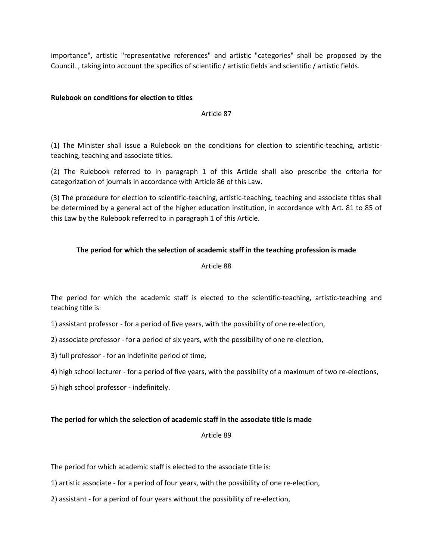importance", artistic "representative references" and artistic "categories" shall be proposed by the Council. , taking into account the specifics of scientific / artistic fields and scientific / artistic fields.

### **Rulebook on conditions for election to titles**

### Article 87

(1) The Minister shall issue a Rulebook on the conditions for election to scientific-teaching, artisticteaching, teaching and associate titles.

(2) The Rulebook referred to in paragraph 1 of this Article shall also prescribe the criteria for categorization of journals in accordance with Article 86 of this Law.

(3) The procedure for election to scientific-teaching, artistic-teaching, teaching and associate titles shall be determined by a general act of the higher education institution, in accordance with Art. 81 to 85 of this Law by the Rulebook referred to in paragraph 1 of this Article.

# **The period for which the selection of academic staff in the teaching profession is made**

#### Article 88

The period for which the academic staff is elected to the scientific-teaching, artistic-teaching and teaching title is:

- 1) assistant professor for a period of five years, with the possibility of one re-election,
- 2) associate professor for a period of six years, with the possibility of one re-election,
- 3) full professor for an indefinite period of time,
- 4) high school lecturer for a period of five years, with the possibility of a maximum of two re-elections,
- 5) high school professor indefinitely.

### **The period for which the selection of academic staff in the associate title is made**

### Article 89

The period for which academic staff is elected to the associate title is:

- 1) artistic associate for a period of four years, with the possibility of one re-election,
- 2) assistant for a period of four years without the possibility of re-election,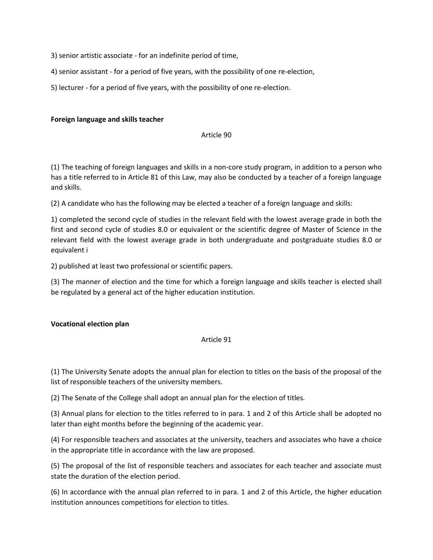3) senior artistic associate - for an indefinite period of time,

- 4) senior assistant for a period of five years, with the possibility of one re-election,
- 5) lecturer for a period of five years, with the possibility of one re-election.

### **Foreign language and skills teacher**

#### Article 90

(1) The teaching of foreign languages and skills in a non-core study program, in addition to a person who has a title referred to in Article 81 of this Law, may also be conducted by a teacher of a foreign language and skills.

(2) A candidate who has the following may be elected a teacher of a foreign language and skills:

1) completed the second cycle of studies in the relevant field with the lowest average grade in both the first and second cycle of studies 8.0 or equivalent or the scientific degree of Master of Science in the relevant field with the lowest average grade in both undergraduate and postgraduate studies 8.0 or equivalent i

2) published at least two professional or scientific papers.

(3) The manner of election and the time for which a foreign language and skills teacher is elected shall be regulated by a general act of the higher education institution.

### **Vocational election plan**

## Article 91

(1) The University Senate adopts the annual plan for election to titles on the basis of the proposal of the list of responsible teachers of the university members.

(2) The Senate of the College shall adopt an annual plan for the election of titles.

(3) Annual plans for election to the titles referred to in para. 1 and 2 of this Article shall be adopted no later than eight months before the beginning of the academic year.

(4) For responsible teachers and associates at the university, teachers and associates who have a choice in the appropriate title in accordance with the law are proposed.

(5) The proposal of the list of responsible teachers and associates for each teacher and associate must state the duration of the election period.

(6) In accordance with the annual plan referred to in para. 1 and 2 of this Article, the higher education institution announces competitions for election to titles.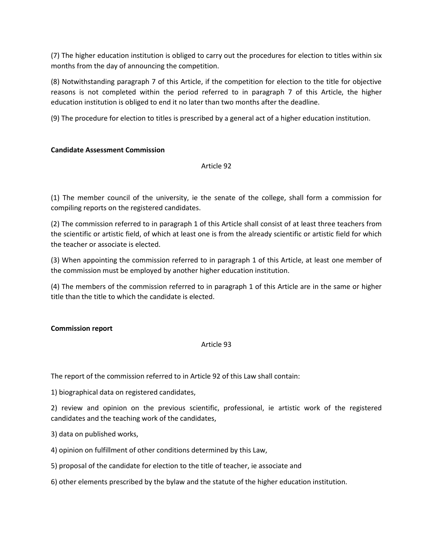(7) The higher education institution is obliged to carry out the procedures for election to titles within six months from the day of announcing the competition.

(8) Notwithstanding paragraph 7 of this Article, if the competition for election to the title for objective reasons is not completed within the period referred to in paragraph 7 of this Article, the higher education institution is obliged to end it no later than two months after the deadline.

(9) The procedure for election to titles is prescribed by a general act of a higher education institution.

# **Candidate Assessment Commission**

### Article 92

(1) The member council of the university, ie the senate of the college, shall form a commission for compiling reports on the registered candidates.

(2) The commission referred to in paragraph 1 of this Article shall consist of at least three teachers from the scientific or artistic field, of which at least one is from the already scientific or artistic field for which the teacher or associate is elected.

(3) When appointing the commission referred to in paragraph 1 of this Article, at least one member of the commission must be employed by another higher education institution.

(4) The members of the commission referred to in paragraph 1 of this Article are in the same or higher title than the title to which the candidate is elected.

### **Commission report**

### Article 93

The report of the commission referred to in Article 92 of this Law shall contain:

1) biographical data on registered candidates,

2) review and opinion on the previous scientific, professional, ie artistic work of the registered candidates and the teaching work of the candidates,

- 3) data on published works,
- 4) opinion on fulfillment of other conditions determined by this Law,
- 5) proposal of the candidate for election to the title of teacher, ie associate and
- 6) other elements prescribed by the bylaw and the statute of the higher education institution.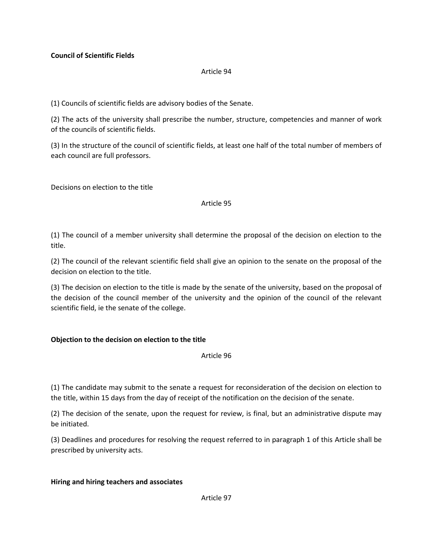# **Council of Scientific Fields**

#### Article 94

(1) Councils of scientific fields are advisory bodies of the Senate.

(2) The acts of the university shall prescribe the number, structure, competencies and manner of work of the councils of scientific fields.

(3) In the structure of the council of scientific fields, at least one half of the total number of members of each council are full professors.

Decisions on election to the title

#### Article 95

(1) The council of a member university shall determine the proposal of the decision on election to the title.

(2) The council of the relevant scientific field shall give an opinion to the senate on the proposal of the decision on election to the title.

(3) The decision on election to the title is made by the senate of the university, based on the proposal of the decision of the council member of the university and the opinion of the council of the relevant scientific field, ie the senate of the college.

### **Objection to the decision on election to the title**

Article 96

(1) The candidate may submit to the senate a request for reconsideration of the decision on election to the title, within 15 days from the day of receipt of the notification on the decision of the senate.

(2) The decision of the senate, upon the request for review, is final, but an administrative dispute may be initiated.

(3) Deadlines and procedures for resolving the request referred to in paragraph 1 of this Article shall be prescribed by university acts.

### **Hiring and hiring teachers and associates**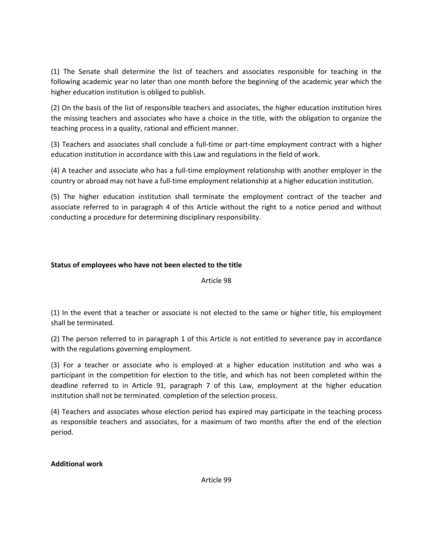(1) The Senate shall determine the list of teachers and associates responsible for teaching in the following academic year no later than one month before the beginning of the academic year which the higher education institution is obliged to publish.

(2) On the basis of the list of responsible teachers and associates, the higher education institution hires the missing teachers and associates who have a choice in the title, with the obligation to organize the teaching process in a quality, rational and efficient manner.

(3) Teachers and associates shall conclude a full-time or part-time employment contract with a higher education institution in accordance with this Law and regulations in the field of work.

(4) A teacher and associate who has a full-time employment relationship with another employer in the country or abroad may not have a full-time employment relationship at a higher education institution.

(5) The higher education institution shall terminate the employment contract of the teacher and associate referred to in paragraph 4 of this Article without the right to a notice period and without conducting a procedure for determining disciplinary responsibility.

# **Status of employees who have not been elected to the title**

Article 98

(1) In the event that a teacher or associate is not elected to the same or higher title, his employment shall be terminated.

(2) The person referred to in paragraph 1 of this Article is not entitled to severance pay in accordance with the regulations governing employment.

(3) For a teacher or associate who is employed at a higher education institution and who was a participant in the competition for election to the title, and which has not been completed within the deadline referred to in Article 91, paragraph 7 of this Law, employment at the higher education institution shall not be terminated. completion of the selection process.

(4) Teachers and associates whose election period has expired may participate in the teaching process as responsible teachers and associates, for a maximum of two months after the end of the election period.

**Additional work**

Article 99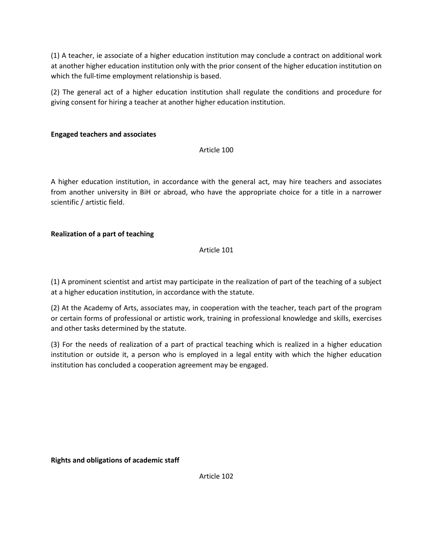(1) A teacher, ie associate of a higher education institution may conclude a contract on additional work at another higher education institution only with the prior consent of the higher education institution on which the full-time employment relationship is based.

(2) The general act of a higher education institution shall regulate the conditions and procedure for giving consent for hiring a teacher at another higher education institution.

# **Engaged teachers and associates**

Article 100

A higher education institution, in accordance with the general act, may hire teachers and associates from another university in BiH or abroad, who have the appropriate choice for a title in a narrower scientific / artistic field.

# **Realization of a part of teaching**

Article 101

(1) A prominent scientist and artist may participate in the realization of part of the teaching of a subject at a higher education institution, in accordance with the statute.

(2) At the Academy of Arts, associates may, in cooperation with the teacher, teach part of the program or certain forms of professional or artistic work, training in professional knowledge and skills, exercises and other tasks determined by the statute.

(3) For the needs of realization of a part of practical teaching which is realized in a higher education institution or outside it, a person who is employed in a legal entity with which the higher education institution has concluded a cooperation agreement may be engaged.

**Rights and obligations of academic staff**

Article 102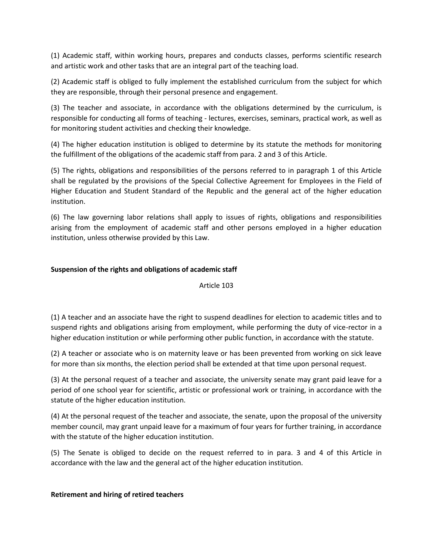(1) Academic staff, within working hours, prepares and conducts classes, performs scientific research and artistic work and other tasks that are an integral part of the teaching load.

(2) Academic staff is obliged to fully implement the established curriculum from the subject for which they are responsible, through their personal presence and engagement.

(3) The teacher and associate, in accordance with the obligations determined by the curriculum, is responsible for conducting all forms of teaching - lectures, exercises, seminars, practical work, as well as for monitoring student activities and checking their knowledge.

(4) The higher education institution is obliged to determine by its statute the methods for monitoring the fulfillment of the obligations of the academic staff from para. 2 and 3 of this Article.

(5) The rights, obligations and responsibilities of the persons referred to in paragraph 1 of this Article shall be regulated by the provisions of the Special Collective Agreement for Employees in the Field of Higher Education and Student Standard of the Republic and the general act of the higher education institution.

(6) The law governing labor relations shall apply to issues of rights, obligations and responsibilities arising from the employment of academic staff and other persons employed in a higher education institution, unless otherwise provided by this Law.

# **Suspension of the rights and obligations of academic staff**

### Article 103

(1) A teacher and an associate have the right to suspend deadlines for election to academic titles and to suspend rights and obligations arising from employment, while performing the duty of vice-rector in a higher education institution or while performing other public function, in accordance with the statute.

(2) A teacher or associate who is on maternity leave or has been prevented from working on sick leave for more than six months, the election period shall be extended at that time upon personal request.

(3) At the personal request of a teacher and associate, the university senate may grant paid leave for a period of one school year for scientific, artistic or professional work or training, in accordance with the statute of the higher education institution.

(4) At the personal request of the teacher and associate, the senate, upon the proposal of the university member council, may grant unpaid leave for a maximum of four years for further training, in accordance with the statute of the higher education institution.

(5) The Senate is obliged to decide on the request referred to in para. 3 and 4 of this Article in accordance with the law and the general act of the higher education institution.

### **Retirement and hiring of retired teachers**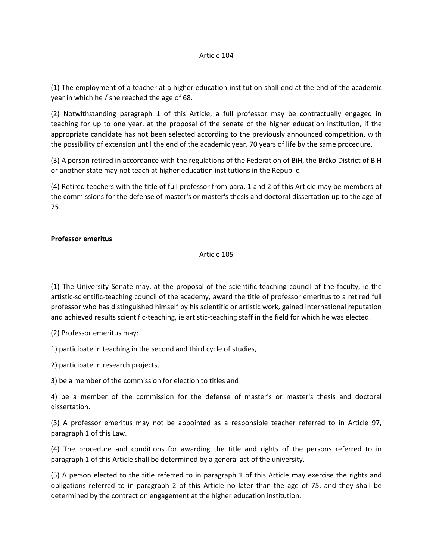#### Article 104

(1) The employment of a teacher at a higher education institution shall end at the end of the academic year in which he / she reached the age of 68.

(2) Notwithstanding paragraph 1 of this Article, a full professor may be contractually engaged in teaching for up to one year, at the proposal of the senate of the higher education institution, if the appropriate candidate has not been selected according to the previously announced competition, with the possibility of extension until the end of the academic year. 70 years of life by the same procedure.

(3) A person retired in accordance with the regulations of the Federation of BiH, the Brčko District of BiH or another state may not teach at higher education institutions in the Republic.

(4) Retired teachers with the title of full professor from para. 1 and 2 of this Article may be members of the commissions for the defense of master's or master's thesis and doctoral dissertation up to the age of 75.

### **Professor emeritus**

#### Article 105

(1) The University Senate may, at the proposal of the scientific-teaching council of the faculty, ie the artistic-scientific-teaching council of the academy, award the title of professor emeritus to a retired full professor who has distinguished himself by his scientific or artistic work, gained international reputation and achieved results scientific-teaching, ie artistic-teaching staff in the field for which he was elected.

(2) Professor emeritus may:

1) participate in teaching in the second and third cycle of studies,

2) participate in research projects,

3) be a member of the commission for election to titles and

4) be a member of the commission for the defense of master's or master's thesis and doctoral dissertation.

(3) A professor emeritus may not be appointed as a responsible teacher referred to in Article 97, paragraph 1 of this Law.

(4) The procedure and conditions for awarding the title and rights of the persons referred to in paragraph 1 of this Article shall be determined by a general act of the university.

(5) A person elected to the title referred to in paragraph 1 of this Article may exercise the rights and obligations referred to in paragraph 2 of this Article no later than the age of 75, and they shall be determined by the contract on engagement at the higher education institution.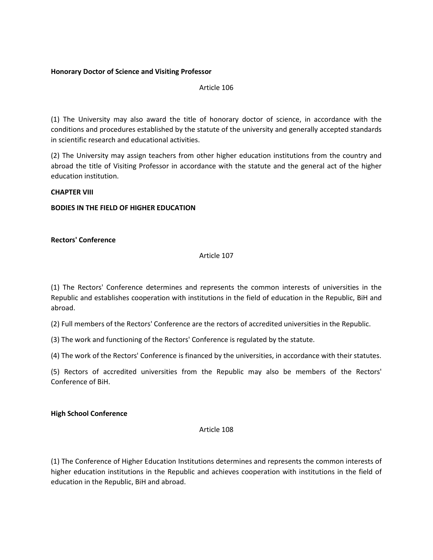## **Honorary Doctor of Science and Visiting Professor**

Article 106

(1) The University may also award the title of honorary doctor of science, in accordance with the conditions and procedures established by the statute of the university and generally accepted standards in scientific research and educational activities.

(2) The University may assign teachers from other higher education institutions from the country and abroad the title of Visiting Professor in accordance with the statute and the general act of the higher education institution.

### **CHAPTER VIII**

# **BODIES IN THE FIELD OF HIGHER EDUCATION**

# **Rectors' Conference**

#### Article 107

(1) The Rectors' Conference determines and represents the common interests of universities in the Republic and establishes cooperation with institutions in the field of education in the Republic, BiH and abroad.

(2) Full members of the Rectors' Conference are the rectors of accredited universities in the Republic.

(3) The work and functioning of the Rectors' Conference is regulated by the statute.

(4) The work of the Rectors' Conference is financed by the universities, in accordance with their statutes.

(5) Rectors of accredited universities from the Republic may also be members of the Rectors' Conference of BiH.

### **High School Conference**

### Article 108

(1) The Conference of Higher Education Institutions determines and represents the common interests of higher education institutions in the Republic and achieves cooperation with institutions in the field of education in the Republic, BiH and abroad.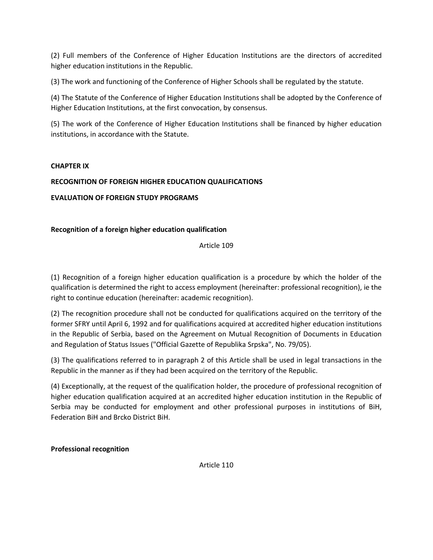(2) Full members of the Conference of Higher Education Institutions are the directors of accredited higher education institutions in the Republic.

(3) The work and functioning of the Conference of Higher Schools shall be regulated by the statute.

(4) The Statute of the Conference of Higher Education Institutions shall be adopted by the Conference of Higher Education Institutions, at the first convocation, by consensus.

(5) The work of the Conference of Higher Education Institutions shall be financed by higher education institutions, in accordance with the Statute.

# **CHAPTER IX**

# **RECOGNITION OF FOREIGN HIGHER EDUCATION QUALIFICATIONS**

# **EVALUATION OF FOREIGN STUDY PROGRAMS**

# **Recognition of a foreign higher education qualification**

Article 109

(1) Recognition of a foreign higher education qualification is a procedure by which the holder of the qualification is determined the right to access employment (hereinafter: professional recognition), ie the right to continue education (hereinafter: academic recognition).

(2) The recognition procedure shall not be conducted for qualifications acquired on the territory of the former SFRY until April 6, 1992 and for qualifications acquired at accredited higher education institutions in the Republic of Serbia, based on the Agreement on Mutual Recognition of Documents in Education and Regulation of Status Issues ("Official Gazette of Republika Srpska", No. 79/05).

(3) The qualifications referred to in paragraph 2 of this Article shall be used in legal transactions in the Republic in the manner as if they had been acquired on the territory of the Republic.

(4) Exceptionally, at the request of the qualification holder, the procedure of professional recognition of higher education qualification acquired at an accredited higher education institution in the Republic of Serbia may be conducted for employment and other professional purposes in institutions of BiH, Federation BiH and Brcko District BiH.

**Professional recognition**

Article 110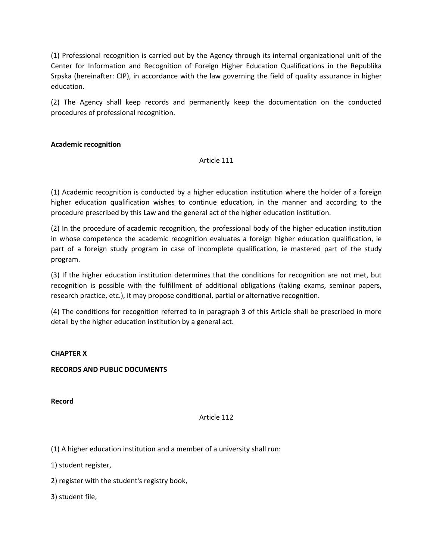(1) Professional recognition is carried out by the Agency through its internal organizational unit of the Center for Information and Recognition of Foreign Higher Education Qualifications in the Republika Srpska (hereinafter: CIP), in accordance with the law governing the field of quality assurance in higher education.

(2) The Agency shall keep records and permanently keep the documentation on the conducted procedures of professional recognition.

# **Academic recognition**

#### Article 111

(1) Academic recognition is conducted by a higher education institution where the holder of a foreign higher education qualification wishes to continue education, in the manner and according to the procedure prescribed by this Law and the general act of the higher education institution.

(2) In the procedure of academic recognition, the professional body of the higher education institution in whose competence the academic recognition evaluates a foreign higher education qualification, ie part of a foreign study program in case of incomplete qualification, ie mastered part of the study program.

(3) If the higher education institution determines that the conditions for recognition are not met, but recognition is possible with the fulfillment of additional obligations (taking exams, seminar papers, research practice, etc.), it may propose conditional, partial or alternative recognition.

(4) The conditions for recognition referred to in paragraph 3 of this Article shall be prescribed in more detail by the higher education institution by a general act.

### **CHAPTER X**

### **RECORDS AND PUBLIC DOCUMENTS**

**Record**

### Article 112

(1) A higher education institution and a member of a university shall run:

1) student register,

2) register with the student's registry book,

3) student file,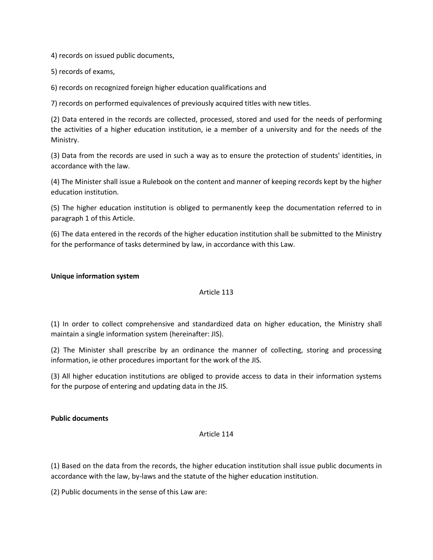4) records on issued public documents,

5) records of exams,

6) records on recognized foreign higher education qualifications and

7) records on performed equivalences of previously acquired titles with new titles.

(2) Data entered in the records are collected, processed, stored and used for the needs of performing the activities of a higher education institution, ie a member of a university and for the needs of the Ministry.

(3) Data from the records are used in such a way as to ensure the protection of students' identities, in accordance with the law.

(4) The Minister shall issue a Rulebook on the content and manner of keeping records kept by the higher education institution.

(5) The higher education institution is obliged to permanently keep the documentation referred to in paragraph 1 of this Article.

(6) The data entered in the records of the higher education institution shall be submitted to the Ministry for the performance of tasks determined by law, in accordance with this Law.

### **Unique information system**

### Article 113

(1) In order to collect comprehensive and standardized data on higher education, the Ministry shall maintain a single information system (hereinafter: JIS).

(2) The Minister shall prescribe by an ordinance the manner of collecting, storing and processing information, ie other procedures important for the work of the JIS.

(3) All higher education institutions are obliged to provide access to data in their information systems for the purpose of entering and updating data in the JIS.

### **Public documents**

### Article 114

(1) Based on the data from the records, the higher education institution shall issue public documents in accordance with the law, by-laws and the statute of the higher education institution.

(2) Public documents in the sense of this Law are: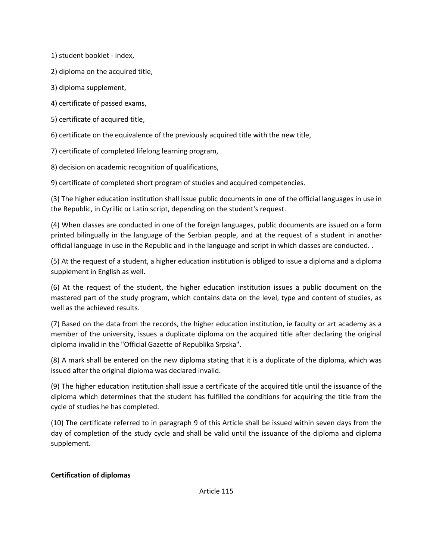1) student booklet - index,

2) diploma on the acquired title,

3) diploma supplement,

4) certificate of passed exams,

5) certificate of acquired title,

6) certificate on the equivalence of the previously acquired title with the new title,

7) certificate of completed lifelong learning program,

8) decision on academic recognition of qualifications,

9) certificate of completed short program of studies and acquired competencies.

(3) The higher education institution shall issue public documents in one of the official languages in use in the Republic, in Cyrillic or Latin script, depending on the student's request.

(4) When classes are conducted in one of the foreign languages, public documents are issued on a form printed bilingually in the language of the Serbian people, and at the request of a student in another official language in use in the Republic and in the language and script in which classes are conducted. .

(5) At the request of a student, a higher education institution is obliged to issue a diploma and a diploma supplement in English as well.

(6) At the request of the student, the higher education institution issues a public document on the mastered part of the study program, which contains data on the level, type and content of studies, as well as the achieved results.

(7) Based on the data from the records, the higher education institution, ie faculty or art academy as a member of the university, issues a duplicate diploma on the acquired title after declaring the original diploma invalid in the "Official Gazette of Republika Srpska".

(8) A mark shall be entered on the new diploma stating that it is a duplicate of the diploma, which was issued after the original diploma was declared invalid.

(9) The higher education institution shall issue a certificate of the acquired title until the issuance of the diploma which determines that the student has fulfilled the conditions for acquiring the title from the cycle of studies he has completed.

(10) The certificate referred to in paragraph 9 of this Article shall be issued within seven days from the day of completion of the study cycle and shall be valid until the issuance of the diploma and diploma supplement.

### **Certification of diplomas**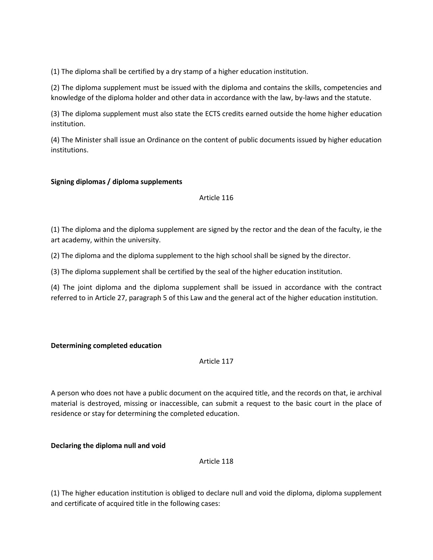(1) The diploma shall be certified by a dry stamp of a higher education institution.

(2) The diploma supplement must be issued with the diploma and contains the skills, competencies and knowledge of the diploma holder and other data in accordance with the law, by-laws and the statute.

(3) The diploma supplement must also state the ECTS credits earned outside the home higher education institution.

(4) The Minister shall issue an Ordinance on the content of public documents issued by higher education institutions.

### **Signing diplomas / diploma supplements**

### Article 116

(1) The diploma and the diploma supplement are signed by the rector and the dean of the faculty, ie the art academy, within the university.

(2) The diploma and the diploma supplement to the high school shall be signed by the director.

(3) The diploma supplement shall be certified by the seal of the higher education institution.

(4) The joint diploma and the diploma supplement shall be issued in accordance with the contract referred to in Article 27, paragraph 5 of this Law and the general act of the higher education institution.

### **Determining completed education**

### Article 117

A person who does not have a public document on the acquired title, and the records on that, ie archival material is destroyed, missing or inaccessible, can submit a request to the basic court in the place of residence or stay for determining the completed education.

### **Declaring the diploma null and void**

Article 118

(1) The higher education institution is obliged to declare null and void the diploma, diploma supplement and certificate of acquired title in the following cases: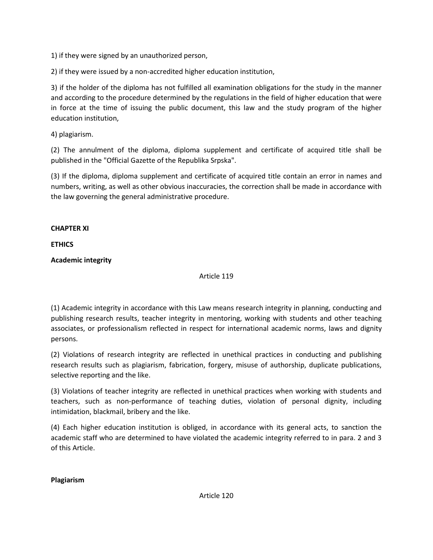1) if they were signed by an unauthorized person,

2) if they were issued by a non-accredited higher education institution,

3) if the holder of the diploma has not fulfilled all examination obligations for the study in the manner and according to the procedure determined by the regulations in the field of higher education that were in force at the time of issuing the public document, this law and the study program of the higher education institution,

4) plagiarism.

(2) The annulment of the diploma, diploma supplement and certificate of acquired title shall be published in the "Official Gazette of the Republika Srpska".

(3) If the diploma, diploma supplement and certificate of acquired title contain an error in names and numbers, writing, as well as other obvious inaccuracies, the correction shall be made in accordance with the law governing the general administrative procedure.

# **CHAPTER XI**

# **ETHICS**

# **Academic integrity**

# Article 119

(1) Academic integrity in accordance with this Law means research integrity in planning, conducting and publishing research results, teacher integrity in mentoring, working with students and other teaching associates, or professionalism reflected in respect for international academic norms, laws and dignity persons.

(2) Violations of research integrity are reflected in unethical practices in conducting and publishing research results such as plagiarism, fabrication, forgery, misuse of authorship, duplicate publications, selective reporting and the like.

(3) Violations of teacher integrity are reflected in unethical practices when working with students and teachers, such as non-performance of teaching duties, violation of personal dignity, including intimidation, blackmail, bribery and the like.

(4) Each higher education institution is obliged, in accordance with its general acts, to sanction the academic staff who are determined to have violated the academic integrity referred to in para. 2 and 3 of this Article.

**Plagiarism**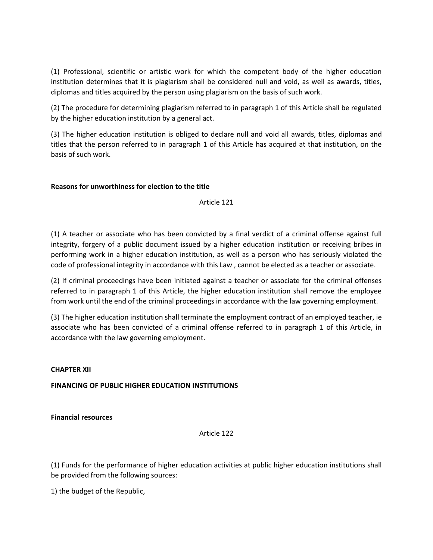(1) Professional, scientific or artistic work for which the competent body of the higher education institution determines that it is plagiarism shall be considered null and void, as well as awards, titles, diplomas and titles acquired by the person using plagiarism on the basis of such work.

(2) The procedure for determining plagiarism referred to in paragraph 1 of this Article shall be regulated by the higher education institution by a general act.

(3) The higher education institution is obliged to declare null and void all awards, titles, diplomas and titles that the person referred to in paragraph 1 of this Article has acquired at that institution, on the basis of such work.

# **Reasons for unworthiness for election to the title**

Article 121

(1) A teacher or associate who has been convicted by a final verdict of a criminal offense against full integrity, forgery of a public document issued by a higher education institution or receiving bribes in performing work in a higher education institution, as well as a person who has seriously violated the code of professional integrity in accordance with this Law , cannot be elected as a teacher or associate.

(2) If criminal proceedings have been initiated against a teacher or associate for the criminal offenses referred to in paragraph 1 of this Article, the higher education institution shall remove the employee from work until the end of the criminal proceedings in accordance with the law governing employment.

(3) The higher education institution shall terminate the employment contract of an employed teacher, ie associate who has been convicted of a criminal offense referred to in paragraph 1 of this Article, in accordance with the law governing employment.

### **CHAPTER XII**

# **FINANCING OF PUBLIC HIGHER EDUCATION INSTITUTIONS**

**Financial resources**

Article 122

(1) Funds for the performance of higher education activities at public higher education institutions shall be provided from the following sources:

1) the budget of the Republic,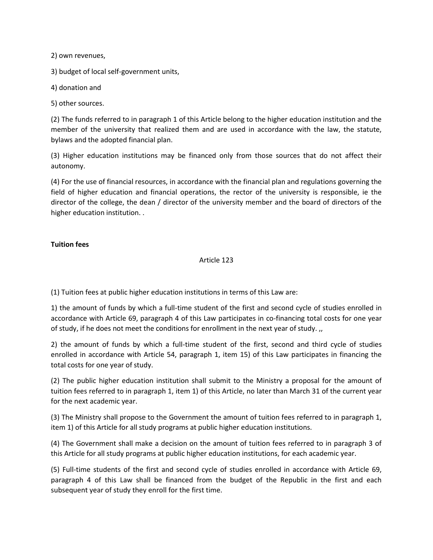2) own revenues,

3) budget of local self-government units,

4) donation and

5) other sources.

(2) The funds referred to in paragraph 1 of this Article belong to the higher education institution and the member of the university that realized them and are used in accordance with the law, the statute, bylaws and the adopted financial plan.

(3) Higher education institutions may be financed only from those sources that do not affect their autonomy.

(4) For the use of financial resources, in accordance with the financial plan and regulations governing the field of higher education and financial operations, the rector of the university is responsible, ie the director of the college, the dean / director of the university member and the board of directors of the higher education institution...

# **Tuition fees**

# Article 123

(1) Tuition fees at public higher education institutions in terms of this Law are:

1) the amount of funds by which a full-time student of the first and second cycle of studies enrolled in accordance with Article 69, paragraph 4 of this Law participates in co-financing total costs for one year of study, if he does not meet the conditions for enrollment in the next year of study. ,,

2) the amount of funds by which a full-time student of the first, second and third cycle of studies enrolled in accordance with Article 54, paragraph 1, item 15) of this Law participates in financing the total costs for one year of study.

(2) The public higher education institution shall submit to the Ministry a proposal for the amount of tuition fees referred to in paragraph 1, item 1) of this Article, no later than March 31 of the current year for the next academic year.

(3) The Ministry shall propose to the Government the amount of tuition fees referred to in paragraph 1, item 1) of this Article for all study programs at public higher education institutions.

(4) The Government shall make a decision on the amount of tuition fees referred to in paragraph 3 of this Article for all study programs at public higher education institutions, for each academic year.

(5) Full-time students of the first and second cycle of studies enrolled in accordance with Article 69, paragraph 4 of this Law shall be financed from the budget of the Republic in the first and each subsequent year of study they enroll for the first time.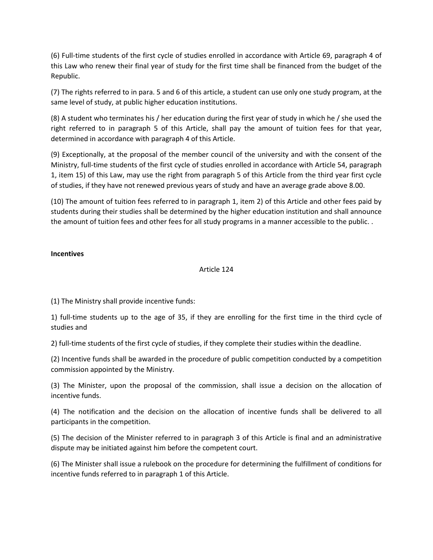(6) Full-time students of the first cycle of studies enrolled in accordance with Article 69, paragraph 4 of this Law who renew their final year of study for the first time shall be financed from the budget of the Republic.

(7) The rights referred to in para. 5 and 6 of this article, a student can use only one study program, at the same level of study, at public higher education institutions.

(8) A student who terminates his / her education during the first year of study in which he / she used the right referred to in paragraph 5 of this Article, shall pay the amount of tuition fees for that year, determined in accordance with paragraph 4 of this Article.

(9) Exceptionally, at the proposal of the member council of the university and with the consent of the Ministry, full-time students of the first cycle of studies enrolled in accordance with Article 54, paragraph 1, item 15) of this Law, may use the right from paragraph 5 of this Article from the third year first cycle of studies, if they have not renewed previous years of study and have an average grade above 8.00.

(10) The amount of tuition fees referred to in paragraph 1, item 2) of this Article and other fees paid by students during their studies shall be determined by the higher education institution and shall announce the amount of tuition fees and other fees for all study programs in a manner accessible to the public. .

### **Incentives**

### Article 124

(1) The Ministry shall provide incentive funds:

1) full-time students up to the age of 35, if they are enrolling for the first time in the third cycle of studies and

2) full-time students of the first cycle of studies, if they complete their studies within the deadline.

(2) Incentive funds shall be awarded in the procedure of public competition conducted by a competition commission appointed by the Ministry.

(3) The Minister, upon the proposal of the commission, shall issue a decision on the allocation of incentive funds.

(4) The notification and the decision on the allocation of incentive funds shall be delivered to all participants in the competition.

(5) The decision of the Minister referred to in paragraph 3 of this Article is final and an administrative dispute may be initiated against him before the competent court.

(6) The Minister shall issue a rulebook on the procedure for determining the fulfillment of conditions for incentive funds referred to in paragraph 1 of this Article.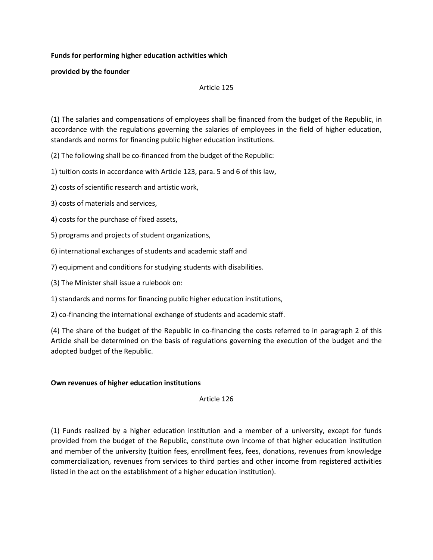## **Funds for performing higher education activities which**

**provided by the founder**

### Article 125

(1) The salaries and compensations of employees shall be financed from the budget of the Republic, in accordance with the regulations governing the salaries of employees in the field of higher education, standards and norms for financing public higher education institutions.

(2) The following shall be co-financed from the budget of the Republic:

1) tuition costs in accordance with Article 123, para. 5 and 6 of this law,

2) costs of scientific research and artistic work,

3) costs of materials and services,

4) costs for the purchase of fixed assets,

5) programs and projects of student organizations,

6) international exchanges of students and academic staff and

7) equipment and conditions for studying students with disabilities.

(3) The Minister shall issue a rulebook on:

1) standards and norms for financing public higher education institutions,

2) co-financing the international exchange of students and academic staff.

(4) The share of the budget of the Republic in co-financing the costs referred to in paragraph 2 of this Article shall be determined on the basis of regulations governing the execution of the budget and the adopted budget of the Republic.

# **Own revenues of higher education institutions**

Article 126

(1) Funds realized by a higher education institution and a member of a university, except for funds provided from the budget of the Republic, constitute own income of that higher education institution and member of the university (tuition fees, enrollment fees, fees, donations, revenues from knowledge commercialization, revenues from services to third parties and other income from registered activities listed in the act on the establishment of a higher education institution).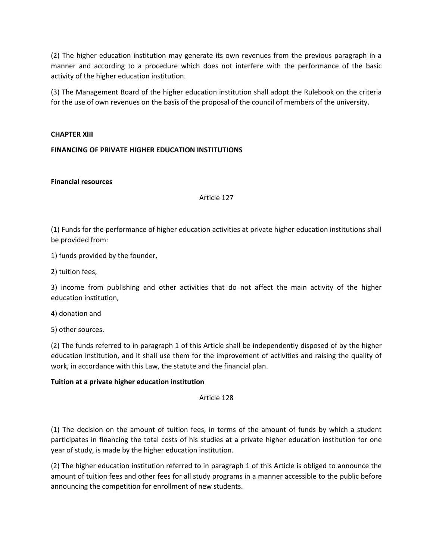(2) The higher education institution may generate its own revenues from the previous paragraph in a manner and according to a procedure which does not interfere with the performance of the basic activity of the higher education institution.

(3) The Management Board of the higher education institution shall adopt the Rulebook on the criteria for the use of own revenues on the basis of the proposal of the council of members of the university.

### **CHAPTER XIII**

### **FINANCING OF PRIVATE HIGHER EDUCATION INSTITUTIONS**

#### **Financial resources**

Article 127

(1) Funds for the performance of higher education activities at private higher education institutions shall be provided from:

1) funds provided by the founder,

2) tuition fees,

3) income from publishing and other activities that do not affect the main activity of the higher education institution,

4) donation and

5) other sources.

(2) The funds referred to in paragraph 1 of this Article shall be independently disposed of by the higher education institution, and it shall use them for the improvement of activities and raising the quality of work, in accordance with this Law, the statute and the financial plan.

### **Tuition at a private higher education institution**

Article 128

(1) The decision on the amount of tuition fees, in terms of the amount of funds by which a student participates in financing the total costs of his studies at a private higher education institution for one year of study, is made by the higher education institution.

(2) The higher education institution referred to in paragraph 1 of this Article is obliged to announce the amount of tuition fees and other fees for all study programs in a manner accessible to the public before announcing the competition for enrollment of new students.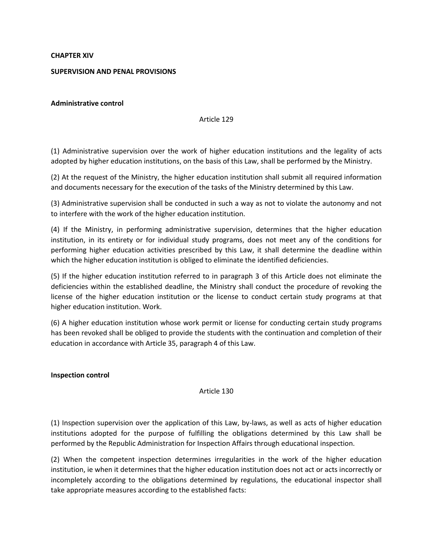#### **CHAPTER XIV**

#### **SUPERVISION AND PENAL PROVISIONS**

#### **Administrative control**

#### Article 129

(1) Administrative supervision over the work of higher education institutions and the legality of acts adopted by higher education institutions, on the basis of this Law, shall be performed by the Ministry.

(2) At the request of the Ministry, the higher education institution shall submit all required information and documents necessary for the execution of the tasks of the Ministry determined by this Law.

(3) Administrative supervision shall be conducted in such a way as not to violate the autonomy and not to interfere with the work of the higher education institution.

(4) If the Ministry, in performing administrative supervision, determines that the higher education institution, in its entirety or for individual study programs, does not meet any of the conditions for performing higher education activities prescribed by this Law, it shall determine the deadline within which the higher education institution is obliged to eliminate the identified deficiencies.

(5) If the higher education institution referred to in paragraph 3 of this Article does not eliminate the deficiencies within the established deadline, the Ministry shall conduct the procedure of revoking the license of the higher education institution or the license to conduct certain study programs at that higher education institution. Work.

(6) A higher education institution whose work permit or license for conducting certain study programs has been revoked shall be obliged to provide the students with the continuation and completion of their education in accordance with Article 35, paragraph 4 of this Law.

#### **Inspection control**

### Article 130

(1) Inspection supervision over the application of this Law, by-laws, as well as acts of higher education institutions adopted for the purpose of fulfilling the obligations determined by this Law shall be performed by the Republic Administration for Inspection Affairs through educational inspection.

(2) When the competent inspection determines irregularities in the work of the higher education institution, ie when it determines that the higher education institution does not act or acts incorrectly or incompletely according to the obligations determined by regulations, the educational inspector shall take appropriate measures according to the established facts: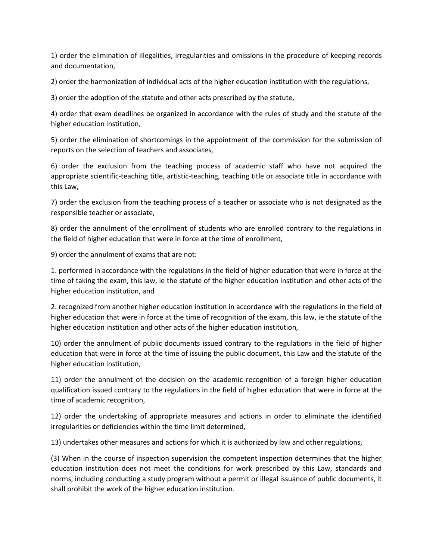1) order the elimination of illegalities, irregularities and omissions in the procedure of keeping records and documentation,

2) order the harmonization of individual acts of the higher education institution with the regulations,

3) order the adoption of the statute and other acts prescribed by the statute,

4) order that exam deadlines be organized in accordance with the rules of study and the statute of the higher education institution,

5) order the elimination of shortcomings in the appointment of the commission for the submission of reports on the selection of teachers and associates,

6) order the exclusion from the teaching process of academic staff who have not acquired the appropriate scientific-teaching title, artistic-teaching, teaching title or associate title in accordance with this Law,

7) order the exclusion from the teaching process of a teacher or associate who is not designated as the responsible teacher or associate,

8) order the annulment of the enrollment of students who are enrolled contrary to the regulations in the field of higher education that were in force at the time of enrollment,

9) order the annulment of exams that are not:

1. performed in accordance with the regulations in the field of higher education that were in force at the time of taking the exam, this law, ie the statute of the higher education institution and other acts of the higher education institution, and

2. recognized from another higher education institution in accordance with the regulations in the field of higher education that were in force at the time of recognition of the exam, this law, ie the statute of the higher education institution and other acts of the higher education institution,

10) order the annulment of public documents issued contrary to the regulations in the field of higher education that were in force at the time of issuing the public document, this Law and the statute of the higher education institution,

11) order the annulment of the decision on the academic recognition of a foreign higher education qualification issued contrary to the regulations in the field of higher education that were in force at the time of academic recognition,

12) order the undertaking of appropriate measures and actions in order to eliminate the identified irregularities or deficiencies within the time limit determined,

13) undertakes other measures and actions for which it is authorized by law and other regulations,

(3) When in the course of inspection supervision the competent inspection determines that the higher education institution does not meet the conditions for work prescribed by this Law, standards and norms, including conducting a study program without a permit or illegal issuance of public documents, it shall prohibit the work of the higher education institution.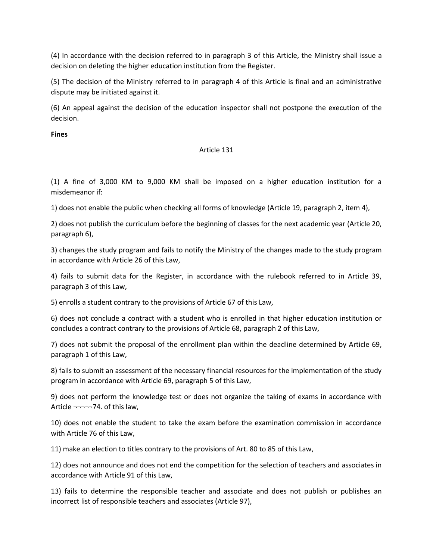(4) In accordance with the decision referred to in paragraph 3 of this Article, the Ministry shall issue a decision on deleting the higher education institution from the Register.

(5) The decision of the Ministry referred to in paragraph 4 of this Article is final and an administrative dispute may be initiated against it.

(6) An appeal against the decision of the education inspector shall not postpone the execution of the decision.

**Fines**

# Article 131

(1) A fine of 3,000 KM to 9,000 KM shall be imposed on a higher education institution for a misdemeanor if:

1) does not enable the public when checking all forms of knowledge (Article 19, paragraph 2, item 4),

2) does not publish the curriculum before the beginning of classes for the next academic year (Article 20, paragraph 6),

3) changes the study program and fails to notify the Ministry of the changes made to the study program in accordance with Article 26 of this Law,

4) fails to submit data for the Register, in accordance with the rulebook referred to in Article 39, paragraph 3 of this Law,

5) enrolls a student contrary to the provisions of Article 67 of this Law,

6) does not conclude a contract with a student who is enrolled in that higher education institution or concludes a contract contrary to the provisions of Article 68, paragraph 2 of this Law,

7) does not submit the proposal of the enrollment plan within the deadline determined by Article 69, paragraph 1 of this Law,

8) fails to submit an assessment of the necessary financial resources for the implementation of the study program in accordance with Article 69, paragraph 5 of this Law,

9) does not perform the knowledge test or does not organize the taking of exams in accordance with Article ¬¬¬¬¬74. of this law,

10) does not enable the student to take the exam before the examination commission in accordance with Article 76 of this Law,

11) make an election to titles contrary to the provisions of Art. 80 to 85 of this Law,

12) does not announce and does not end the competition for the selection of teachers and associates in accordance with Article 91 of this Law,

13) fails to determine the responsible teacher and associate and does not publish or publishes an incorrect list of responsible teachers and associates (Article 97),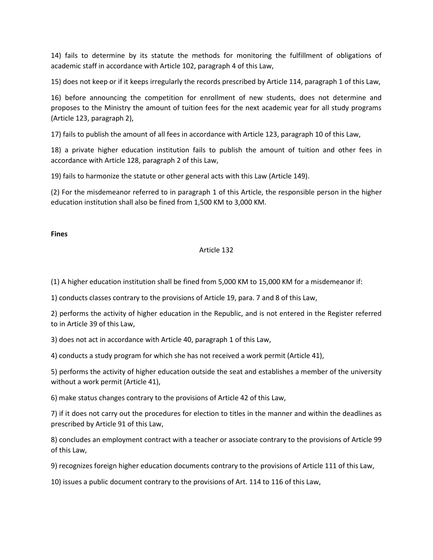14) fails to determine by its statute the methods for monitoring the fulfillment of obligations of academic staff in accordance with Article 102, paragraph 4 of this Law,

15) does not keep or if it keeps irregularly the records prescribed by Article 114, paragraph 1 of this Law,

16) before announcing the competition for enrollment of new students, does not determine and proposes to the Ministry the amount of tuition fees for the next academic year for all study programs (Article 123, paragraph 2),

17) fails to publish the amount of all fees in accordance with Article 123, paragraph 10 of this Law,

18) a private higher education institution fails to publish the amount of tuition and other fees in accordance with Article 128, paragraph 2 of this Law,

19) fails to harmonize the statute or other general acts with this Law (Article 149).

(2) For the misdemeanor referred to in paragraph 1 of this Article, the responsible person in the higher education institution shall also be fined from 1,500 KM to 3,000 KM.

## **Fines**

## Article 132

(1) A higher education institution shall be fined from 5,000 KM to 15,000 KM for a misdemeanor if:

1) conducts classes contrary to the provisions of Article 19, para. 7 and 8 of this Law,

2) performs the activity of higher education in the Republic, and is not entered in the Register referred to in Article 39 of this Law,

3) does not act in accordance with Article 40, paragraph 1 of this Law,

4) conducts a study program for which she has not received a work permit (Article 41),

5) performs the activity of higher education outside the seat and establishes a member of the university without a work permit (Article 41),

6) make status changes contrary to the provisions of Article 42 of this Law,

7) if it does not carry out the procedures for election to titles in the manner and within the deadlines as prescribed by Article 91 of this Law,

8) concludes an employment contract with a teacher or associate contrary to the provisions of Article 99 of this Law,

9) recognizes foreign higher education documents contrary to the provisions of Article 111 of this Law,

10) issues a public document contrary to the provisions of Art. 114 to 116 of this Law,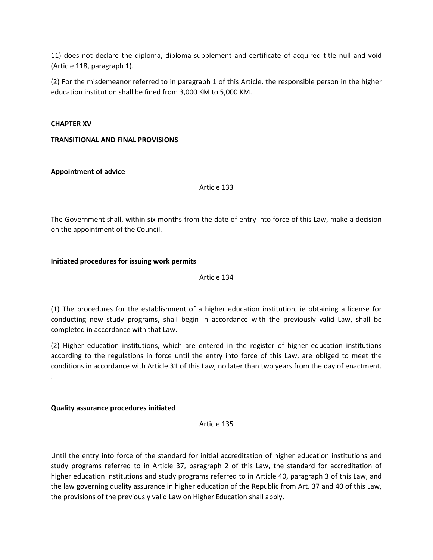11) does not declare the diploma, diploma supplement and certificate of acquired title null and void (Article 118, paragraph 1).

(2) For the misdemeanor referred to in paragraph 1 of this Article, the responsible person in the higher education institution shall be fined from 3,000 KM to 5,000 KM.

#### **CHAPTER XV**

## **TRANSITIONAL AND FINAL PROVISIONS**

## **Appointment of advice**

Article 133

The Government shall, within six months from the date of entry into force of this Law, make a decision on the appointment of the Council.

#### **Initiated procedures for issuing work permits**

Article 134

(1) The procedures for the establishment of a higher education institution, ie obtaining a license for conducting new study programs, shall begin in accordance with the previously valid Law, shall be completed in accordance with that Law.

(2) Higher education institutions, which are entered in the register of higher education institutions according to the regulations in force until the entry into force of this Law, are obliged to meet the conditions in accordance with Article 31 of this Law, no later than two years from the day of enactment. .

## **Quality assurance procedures initiated**

Article 135

Until the entry into force of the standard for initial accreditation of higher education institutions and study programs referred to in Article 37, paragraph 2 of this Law, the standard for accreditation of higher education institutions and study programs referred to in Article 40, paragraph 3 of this Law, and the law governing quality assurance in higher education of the Republic from Art. 37 and 40 of this Law, the provisions of the previously valid Law on Higher Education shall apply.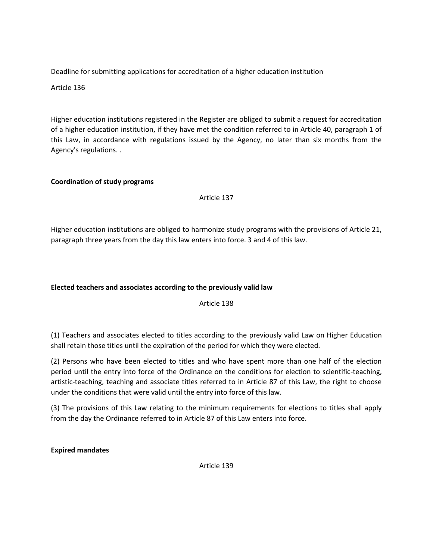Deadline for submitting applications for accreditation of a higher education institution

Article 136

Higher education institutions registered in the Register are obliged to submit a request for accreditation of a higher education institution, if they have met the condition referred to in Article 40, paragraph 1 of this Law, in accordance with regulations issued by the Agency, no later than six months from the Agency's regulations. .

# **Coordination of study programs**

Article 137

Higher education institutions are obliged to harmonize study programs with the provisions of Article 21, paragraph three years from the day this law enters into force. 3 and 4 of this law.

# **Elected teachers and associates according to the previously valid law**

Article 138

(1) Teachers and associates elected to titles according to the previously valid Law on Higher Education shall retain those titles until the expiration of the period for which they were elected.

(2) Persons who have been elected to titles and who have spent more than one half of the election period until the entry into force of the Ordinance on the conditions for election to scientific-teaching, artistic-teaching, teaching and associate titles referred to in Article 87 of this Law, the right to choose under the conditions that were valid until the entry into force of this law.

(3) The provisions of this Law relating to the minimum requirements for elections to titles shall apply from the day the Ordinance referred to in Article 87 of this Law enters into force.

**Expired mandates**

Article 139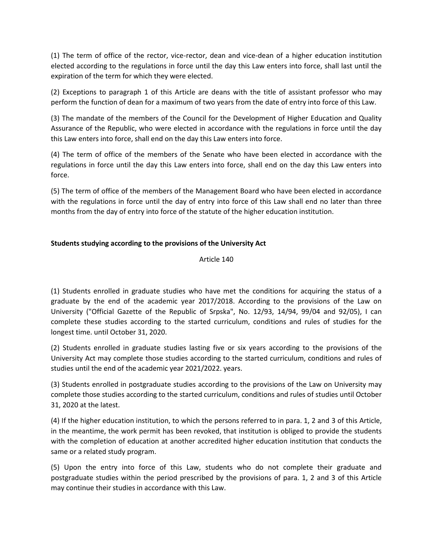(1) The term of office of the rector, vice-rector, dean and vice-dean of a higher education institution elected according to the regulations in force until the day this Law enters into force, shall last until the expiration of the term for which they were elected.

(2) Exceptions to paragraph 1 of this Article are deans with the title of assistant professor who may perform the function of dean for a maximum of two years from the date of entry into force of this Law.

(3) The mandate of the members of the Council for the Development of Higher Education and Quality Assurance of the Republic, who were elected in accordance with the regulations in force until the day this Law enters into force, shall end on the day this Law enters into force.

(4) The term of office of the members of the Senate who have been elected in accordance with the regulations in force until the day this Law enters into force, shall end on the day this Law enters into force.

(5) The term of office of the members of the Management Board who have been elected in accordance with the regulations in force until the day of entry into force of this Law shall end no later than three months from the day of entry into force of the statute of the higher education institution.

# **Students studying according to the provisions of the University Act**

Article 140

(1) Students enrolled in graduate studies who have met the conditions for acquiring the status of a graduate by the end of the academic year 2017/2018. According to the provisions of the Law on University ("Official Gazette of the Republic of Srpska", No. 12/93, 14/94, 99/04 and 92/05), I can complete these studies according to the started curriculum, conditions and rules of studies for the longest time. until October 31, 2020.

(2) Students enrolled in graduate studies lasting five or six years according to the provisions of the University Act may complete those studies according to the started curriculum, conditions and rules of studies until the end of the academic year 2021/2022. years.

(3) Students enrolled in postgraduate studies according to the provisions of the Law on University may complete those studies according to the started curriculum, conditions and rules of studies until October 31, 2020 at the latest.

(4) If the higher education institution, to which the persons referred to in para. 1, 2 and 3 of this Article, in the meantime, the work permit has been revoked, that institution is obliged to provide the students with the completion of education at another accredited higher education institution that conducts the same or a related study program.

(5) Upon the entry into force of this Law, students who do not complete their graduate and postgraduate studies within the period prescribed by the provisions of para. 1, 2 and 3 of this Article may continue their studies in accordance with this Law.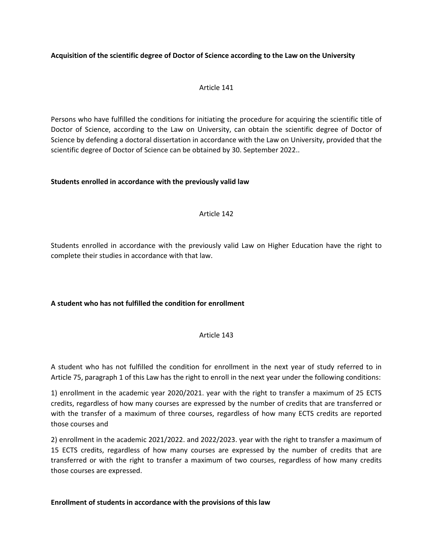## **Acquisition of the scientific degree of Doctor of Science according to the Law on the University**

## Article 141

Persons who have fulfilled the conditions for initiating the procedure for acquiring the scientific title of Doctor of Science, according to the Law on University, can obtain the scientific degree of Doctor of Science by defending a doctoral dissertation in accordance with the Law on University, provided that the scientific degree of Doctor of Science can be obtained by 30. September 2022..

## **Students enrolled in accordance with the previously valid law**

## Article 142

Students enrolled in accordance with the previously valid Law on Higher Education have the right to complete their studies in accordance with that law.

# **A student who has not fulfilled the condition for enrollment**

## Article 143

A student who has not fulfilled the condition for enrollment in the next year of study referred to in Article 75, paragraph 1 of this Law has the right to enroll in the next year under the following conditions:

1) enrollment in the academic year 2020/2021. year with the right to transfer a maximum of 25 ECTS credits, regardless of how many courses are expressed by the number of credits that are transferred or with the transfer of a maximum of three courses, regardless of how many ECTS credits are reported those courses and

2) enrollment in the academic 2021/2022. and 2022/2023. year with the right to transfer a maximum of 15 ECTS credits, regardless of how many courses are expressed by the number of credits that are transferred or with the right to transfer a maximum of two courses, regardless of how many credits those courses are expressed.

## **Enrollment of students in accordance with the provisions of this law**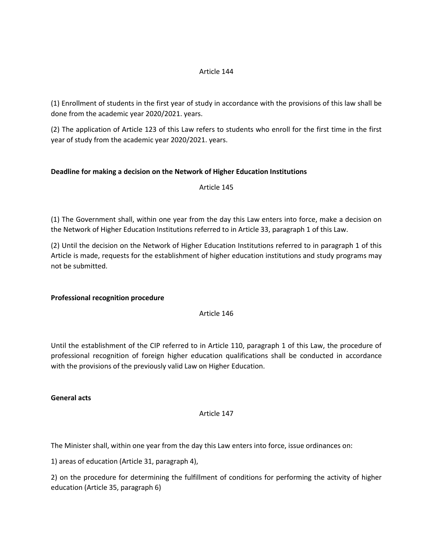## Article 144

(1) Enrollment of students in the first year of study in accordance with the provisions of this law shall be done from the academic year 2020/2021. years.

(2) The application of Article 123 of this Law refers to students who enroll for the first time in the first year of study from the academic year 2020/2021. years.

# **Deadline for making a decision on the Network of Higher Education Institutions**

Article 145

(1) The Government shall, within one year from the day this Law enters into force, make a decision on the Network of Higher Education Institutions referred to in Article 33, paragraph 1 of this Law.

(2) Until the decision on the Network of Higher Education Institutions referred to in paragraph 1 of this Article is made, requests for the establishment of higher education institutions and study programs may not be submitted.

## **Professional recognition procedure**

## Article 146

Until the establishment of the CIP referred to in Article 110, paragraph 1 of this Law, the procedure of professional recognition of foreign higher education qualifications shall be conducted in accordance with the provisions of the previously valid Law on Higher Education.

## **General acts**

## Article 147

The Minister shall, within one year from the day this Law enters into force, issue ordinances on:

1) areas of education (Article 31, paragraph 4),

2) on the procedure for determining the fulfillment of conditions for performing the activity of higher education (Article 35, paragraph 6)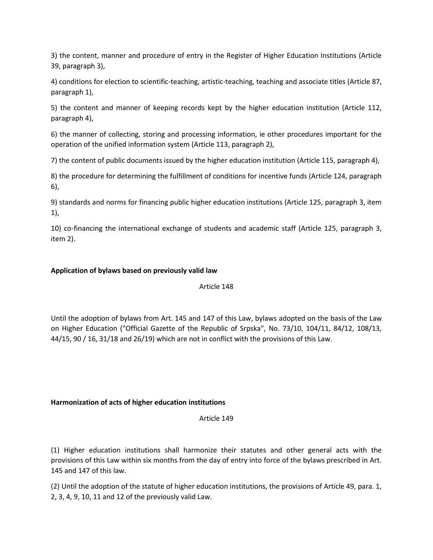3) the content, manner and procedure of entry in the Register of Higher Education Institutions (Article 39, paragraph 3),

4) conditions for election to scientific-teaching, artistic-teaching, teaching and associate titles (Article 87, paragraph 1),

5) the content and manner of keeping records kept by the higher education institution (Article 112, paragraph 4),

6) the manner of collecting, storing and processing information, ie other procedures important for the operation of the unified information system (Article 113, paragraph 2),

7) the content of public documents issued by the higher education institution (Article 115, paragraph 4),

8) the procedure for determining the fulfillment of conditions for incentive funds (Article 124, paragraph 6),

9) standards and norms for financing public higher education institutions (Article 125, paragraph 3, item 1),

10) co-financing the international exchange of students and academic staff (Article 125, paragraph 3, item 2).

## **Application of bylaws based on previously valid law**

## Article 148

Until the adoption of bylaws from Art. 145 and 147 of this Law, bylaws adopted on the basis of the Law on Higher Education ("Official Gazette of the Republic of Srpska", No. 73/10, 104/11, 84/12, 108/13, 44/15, 90 / 16, 31/18 and 26/19) which are not in conflict with the provisions of this Law.

## **Harmonization of acts of higher education institutions**

Article 149

(1) Higher education institutions shall harmonize their statutes and other general acts with the provisions of this Law within six months from the day of entry into force of the bylaws prescribed in Art. 145 and 147 of this law.

(2) Until the adoption of the statute of higher education institutions, the provisions of Article 49, para. 1, 2, 3, 4, 9, 10, 11 and 12 of the previously valid Law.